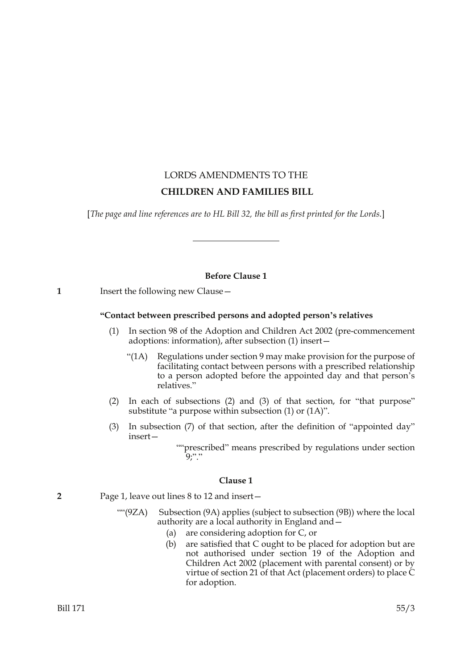# LORDS AMENDMENTS TO THE  **CHILDREN AND FAMILIES BILL**

[*The page and line references are to HL Bill 32, the bill as first printed for the Lords.*]

# **Before Clause 1**

**1** Insert the following new Clause—

# **"Contact between prescribed persons and adopted person's relatives**

- (1) In section 98 of the Adoption and Children Act 2002 (pre-commencement adoptions: information), after subsection (1) insert—
	- "(1A) Regulations under section 9 may make provision for the purpose of facilitating contact between persons with a prescribed relationship to a person adopted before the appointed day and that person's relatives."
- (2) In each of subsections (2) and (3) of that section, for "that purpose" substitute "a purpose within subsection (1) or (1A)".
- (3) In subsection (7) of that section, after the definition of "appointed day" insert—
	- ""prescribed" means prescribed by regulations under section <sup>...</sup>"?

# **Clause 1**

**2** Page 1, leave out lines 8 to 12 and insert—

- ""(9ZA) Subsection (9A) applies (subject to subsection (9B)) where the local authority are a local authority in England and—
	- (a) are considering adoption for C, or
	- (b) are satisfied that C ought to be placed for adoption but are not authorised under section 19 of the Adoption and Children Act 2002 (placement with parental consent) or by virtue of section 21 of that Act (placement orders) to place  $\tilde{C}$ for adoption.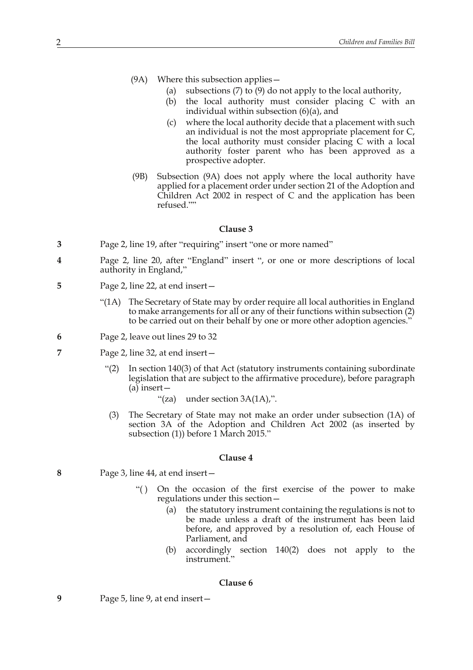- (9A) Where this subsection applies—
	- (a) subsections (7) to (9) do not apply to the local authority,
	- (b) the local authority must consider placing C with an individual within subsection (6)(a), and
	- (c) where the local authority decide that a placement with such an individual is not the most appropriate placement for C, the local authority must consider placing C with a local authority foster parent who has been approved as a prospective adopter.
- (9B) Subsection (9A) does not apply where the local authority have applied for a placement order under section 21 of the Adoption and Children Act 2002 in respect of C and the application has been refused.""

- **3** Page 2, line 19, after "requiring" insert "one or more named"
- **4** Page 2, line 20, after "England" insert ", or one or more descriptions of local authority in England,"
- **5** Page 2, line 22, at end insert—
	- "(1A) The Secretary of State may by order require all local authorities in England to make arrangements for all or any of their functions within subsection (2) to be carried out on their behalf by one or more other adoption agencies."
- **6** Page 2, leave out lines 29 to 32
- **7** Page 2, line 32, at end insert—
	- "(2) In section 140(3) of that Act (statutory instruments containing subordinate legislation that are subject to the affirmative procedure), before paragraph (a) insert—
		- "(za) under section 3A(1A),".
	- (3) The Secretary of State may not make an order under subsection (1A) of section 3A of the Adoption and Children Act 2002 (as inserted by subsection (1)) before 1 March 2015."

#### **Clause 4**

- **8** Page 3, line 44, at end insert—
	- "() On the occasion of the first exercise of the power to make regulations under this section—
		- (a) the statutory instrument containing the regulations is not to be made unless a draft of the instrument has been laid before, and approved by a resolution of, each House of Parliament, and
		- (b) accordingly section 140(2) does not apply to the instrument."

#### **Clause 6**

**9** Page 5, line 9, at end insert—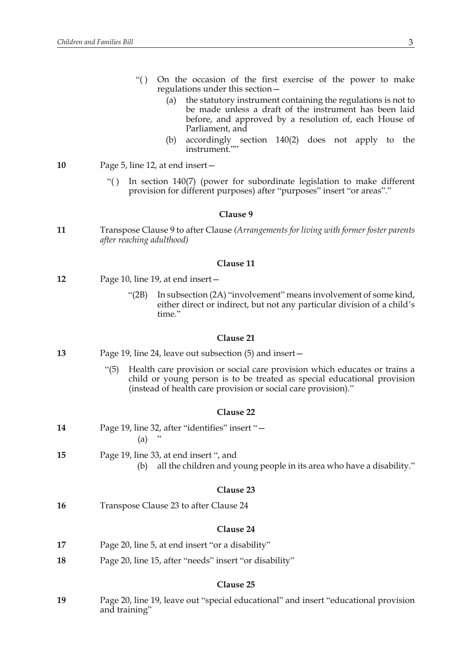- "( ) On the occasion of the first exercise of the power to make regulations under this section—
	- (a) the statutory instrument containing the regulations is not to be made unless a draft of the instrument has been laid before, and approved by a resolution of, each House of Parliament, and
	- (b) accordingly section 140(2) does not apply to the instrument.""
- **10** Page 5, line 12, at end insert—
	- "( ) In section 140(7) (power for subordinate legislation to make different provision for different purposes) after "purposes" insert "or areas"."

**11** Transpose Clause 9 to after Clause *(Arrangements for living with former foster parents after reaching adulthood)*

## **Clause 11**

- **12** Page 10, line 19, at end insert—
	- "(2B) In subsection (2A) "involvement" means involvement of some kind, either direct or indirect, but not any particular division of a child's time."

#### **Clause 21**

- **13** Page 19, line 24, leave out subsection (5) and insert—
	- "(5) Health care provision or social care provision which educates or trains a child or young person is to be treated as special educational provision (instead of health care provision or social care provision)."

#### **Clause 22**

| 14 | Page 19, line 32, after "identifies" insert "-                                                                         |
|----|------------------------------------------------------------------------------------------------------------------------|
|    | (a)                                                                                                                    |
| 15 | Page 19, line 33, at end insert ", and<br>all the children and young people in its area who have a disability."<br>(b) |
|    |                                                                                                                        |

# **Clause 23**

**16** Transpose Clause 23 to after Clause 24

#### **Clause 24**

- **17** Page 20, line 5, at end insert "or a disability"
- **18** Page 20, line 15, after "needs" insert "or disability"

#### **Clause 25**

**19** Page 20, line 19, leave out "special educational" and insert "educational provision and training"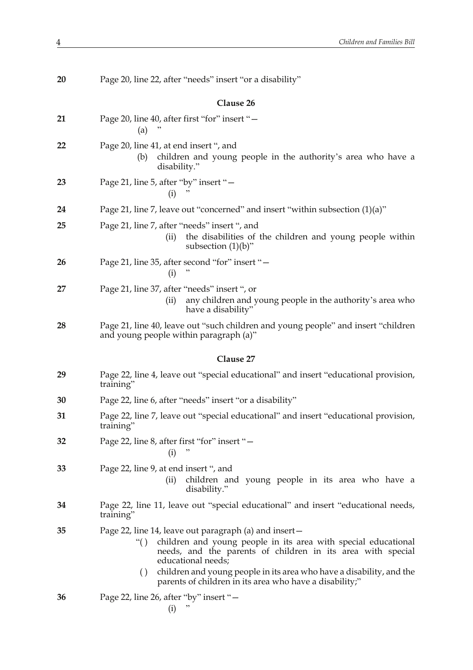| 20 | Page 20, line 22, after "needs" insert "or a disability"                                                                                                                                                                                                                                                                                                                       |
|----|--------------------------------------------------------------------------------------------------------------------------------------------------------------------------------------------------------------------------------------------------------------------------------------------------------------------------------------------------------------------------------|
|    | Clause 26                                                                                                                                                                                                                                                                                                                                                                      |
| 21 | Page 20, line 40, after first "for" insert "-<br>(a)                                                                                                                                                                                                                                                                                                                           |
| 22 | Page 20, line 41, at end insert ", and<br>children and young people in the authority's area who have a<br>(b)<br>disability."                                                                                                                                                                                                                                                  |
| 23 | Page 21, line 5, after "by" insert "-<br>(i)                                                                                                                                                                                                                                                                                                                                   |
| 24 | Page 21, line 7, leave out "concerned" and insert "within subsection $(1)(a)$ "                                                                                                                                                                                                                                                                                                |
| 25 | Page 21, line 7, after "needs" insert ", and<br>the disabilities of the children and young people within<br>(ii)<br>subsection $(1)(b)$ "                                                                                                                                                                                                                                      |
| 26 | Page 21, line 35, after second "for" insert "-<br>(i)<br>,                                                                                                                                                                                                                                                                                                                     |
| 27 | Page 21, line 37, after "needs" insert ", or<br>any children and young people in the authority's area who<br>(ii)<br>have a disability"                                                                                                                                                                                                                                        |
| 28 | Page 21, line 40, leave out "such children and young people" and insert "children<br>and young people within paragraph (a)"                                                                                                                                                                                                                                                    |
|    |                                                                                                                                                                                                                                                                                                                                                                                |
|    | Clause 27                                                                                                                                                                                                                                                                                                                                                                      |
| 29 | Page 22, line 4, leave out "special educational" and insert "educational provision,<br>training"                                                                                                                                                                                                                                                                               |
| 30 | Page 22, line 6, after "needs" insert "or a disability"                                                                                                                                                                                                                                                                                                                        |
| 31 | Page 22, line 7, leave out "special educational" and insert "educational provision,<br>training"                                                                                                                                                                                                                                                                               |
| 32 | Page 22, line 8, after first "for" insert "-<br>(i)                                                                                                                                                                                                                                                                                                                            |
| 33 | Page 22, line 9, at end insert ", and<br>(ii)<br>children and young people in its area who have a<br>disability."                                                                                                                                                                                                                                                              |
| 34 | Page 22, line 11, leave out "special educational" and insert "educational needs,<br>training"                                                                                                                                                                                                                                                                                  |
| 35 | Page 22, line 14, leave out paragraph (a) and insert –<br>children and young people in its area with special educational<br>``()<br>needs, and the parents of children in its area with special<br>educational needs;<br>children and young people in its area who have a disability, and the<br>$\left( \ \right)$<br>parents of children in its area who have a disability;" |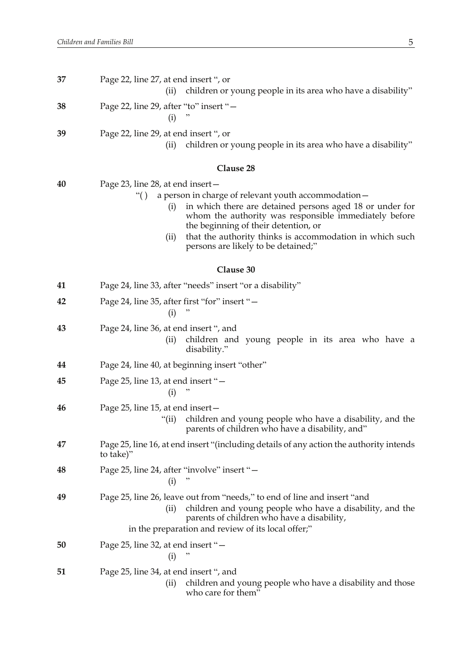| 37 | Page 22, line 27, at end insert ", or<br>children or young people in its area who have a disability"<br>(ii)                                                                                                                                                                                                                                                                     |
|----|----------------------------------------------------------------------------------------------------------------------------------------------------------------------------------------------------------------------------------------------------------------------------------------------------------------------------------------------------------------------------------|
| 38 | Page 22, line 29, after "to" insert "-<br>(i)                                                                                                                                                                                                                                                                                                                                    |
| 39 | Page 22, line 29, at end insert ", or<br>children or young people in its area who have a disability"<br>(ii)                                                                                                                                                                                                                                                                     |
|    | Clause 28                                                                                                                                                                                                                                                                                                                                                                        |
| 40 | Page 23, line 28, at end insert –<br>a person in charge of relevant youth accommodation –<br>``()<br>in which there are detained persons aged 18 or under for<br>(i)<br>whom the authority was responsible immediately before<br>the beginning of their detention, or<br>that the authority thinks is accommodation in which such<br>(ii)<br>persons are likely to be detained;" |
|    | Clause 30                                                                                                                                                                                                                                                                                                                                                                        |
| 41 | Page 24, line 33, after "needs" insert "or a disability"                                                                                                                                                                                                                                                                                                                         |
| 42 | Page 24, line 35, after first "for" insert "-<br>(i)                                                                                                                                                                                                                                                                                                                             |
| 43 | Page 24, line 36, at end insert ", and<br>children and young people in its area who have a<br>(i)<br>disability."                                                                                                                                                                                                                                                                |
| 44 | Page 24, line 40, at beginning insert "other"                                                                                                                                                                                                                                                                                                                                    |
| 45 | Page 25, line 13, at end insert "-<br>(i)                                                                                                                                                                                                                                                                                                                                        |
| 46 | Page 25, line 15, at end insert –<br>children and young people who have a disability, and the<br>"(ii)<br>parents of children who have a disability, and"                                                                                                                                                                                                                        |
| 47 | Page 25, line 16, at end insert "(including details of any action the authority intends<br>to take)"                                                                                                                                                                                                                                                                             |
| 48 | Page 25, line 24, after "involve" insert "-<br>(i)                                                                                                                                                                                                                                                                                                                               |
| 49 | Page 25, line 26, leave out from "needs," to end of line and insert "and<br>children and young people who have a disability, and the<br>(iii)<br>parents of children who have a disability,<br>in the preparation and review of its local offer;"                                                                                                                                |
| 50 | Page 25, line 32, at end insert "-<br>"<br>(i)                                                                                                                                                                                                                                                                                                                                   |
| 51 | Page 25, line 34, at end insert ", and<br>children and young people who have a disability and those<br>(ii)<br>who care for them"                                                                                                                                                                                                                                                |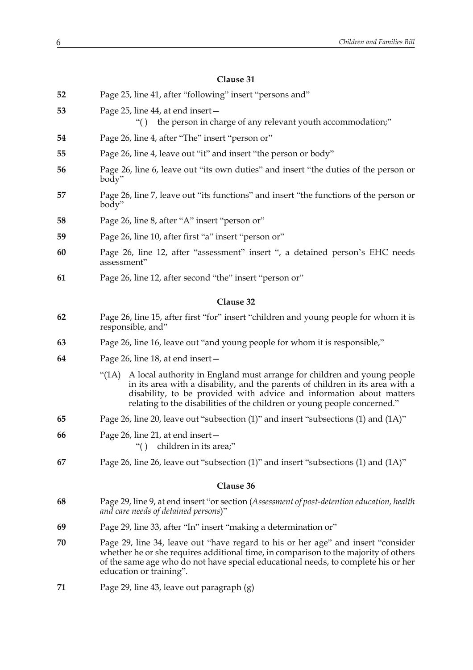| 52 | Page 25, line 41, after "following" insert "persons and"                                                                                                                                                                                                                                                              |
|----|-----------------------------------------------------------------------------------------------------------------------------------------------------------------------------------------------------------------------------------------------------------------------------------------------------------------------|
| 53 | Page 25, line 44, at end insert-<br>"() the person in charge of any relevant youth accommodation;"                                                                                                                                                                                                                    |
| 54 | Page 26, line 4, after "The" insert "person or"                                                                                                                                                                                                                                                                       |
| 55 | Page 26, line 4, leave out "it" and insert "the person or body"                                                                                                                                                                                                                                                       |
| 56 | Page 26, line 6, leave out "its own duties" and insert "the duties of the person or<br>body"                                                                                                                                                                                                                          |
| 57 | Page 26, line 7, leave out "its functions" and insert "the functions of the person or<br>body"                                                                                                                                                                                                                        |
| 58 | Page 26, line 8, after "A" insert "person or"                                                                                                                                                                                                                                                                         |
| 59 | Page 26, line 10, after first "a" insert "person or"                                                                                                                                                                                                                                                                  |
| 60 | Page 26, line 12, after "assessment" insert ", a detained person's EHC needs<br>assessment"                                                                                                                                                                                                                           |
| 61 | Page 26, line 12, after second "the" insert "person or"                                                                                                                                                                                                                                                               |
|    | Clause 32                                                                                                                                                                                                                                                                                                             |
| 62 |                                                                                                                                                                                                                                                                                                                       |
|    | Page 26, line 15, after first "for" insert "children and young people for whom it is<br>responsible, and"                                                                                                                                                                                                             |
| 63 | Page 26, line 16, leave out "and young people for whom it is responsible,"                                                                                                                                                                                                                                            |
| 64 | Page 26, line 18, at end insert-                                                                                                                                                                                                                                                                                      |
|    | A local authority in England must arrange for children and young people<br>"(1A)<br>in its area with a disability, and the parents of children in its area with a<br>disability, to be provided with advice and information about matters<br>relating to the disabilities of the children or young people concerned." |
| 65 | Page 26, line 20, leave out "subsection (1)" and insert "subsections (1) and (1A)"                                                                                                                                                                                                                                    |
| 66 | Page 26, line 21, at end insert –<br>"() children in its area;"                                                                                                                                                                                                                                                       |
| 67 | Page 26, line 26, leave out "subsection $(1)$ " and insert "subsections $(1)$ and $(1A)$ "                                                                                                                                                                                                                            |
|    | Clause 36                                                                                                                                                                                                                                                                                                             |
|    |                                                                                                                                                                                                                                                                                                                       |
| 68 | Page 29, line 9, at end insert "or section (Assessment of post-detention education, health<br>and care needs of detained persons)"                                                                                                                                                                                    |
| 69 | Page 29, line 33, after "In" insert "making a determination or"                                                                                                                                                                                                                                                       |
| 70 | Page 29, line 34, leave out "have regard to his or her age" and insert "consider<br>whether he or she requires additional time, in comparison to the majority of others<br>of the same age who do not have special educational needs, to complete his or her<br>education or training".                               |
| 71 | Page 29, line 43, leave out paragraph (g)                                                                                                                                                                                                                                                                             |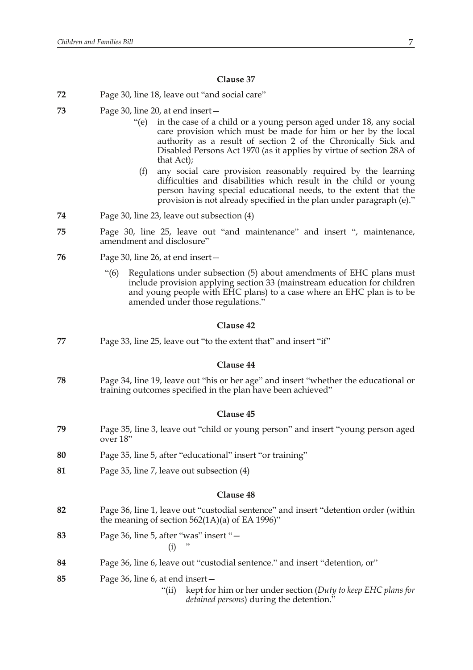- **72** Page 30, line 18, leave out "and social care"
- **73** Page 30, line 20, at end insert—
	- "(e) in the case of a child or a young person aged under 18, any social care provision which must be made for him or her by the local authority as a result of section 2 of the Chronically Sick and Disabled Persons Act 1970 (as it applies by virtue of section 28A of that Act);
	- (f) any social care provision reasonably required by the learning difficulties and disabilities which result in the child or young person having special educational needs, to the extent that the provision is not already specified in the plan under paragraph (e)."
- **74** Page 30, line 23, leave out subsection (4)
- **75** Page 30, line 25, leave out "and maintenance" and insert ", maintenance, amendment and disclosure"
- **76** Page 30, line 26, at end insert—
	- "(6) Regulations under subsection (5) about amendments of EHC plans must include provision applying section 33 (mainstream education for children and young people with EHC plans) to a case where an EHC plan is to be amended under those regulations."

#### **Clause 42**

**77** Page 33, line 25, leave out "to the extent that" and insert "if"

## **Clause 44**

**78** Page 34, line 19, leave out "his or her age" and insert "whether the educational or training outcomes specified in the plan have been achieved"

# **Clause 45**

- **79** Page 35, line 3, leave out "child or young person" and insert "young person aged over 18"
- **80** Page 35, line 5, after "educational" insert "or training"
- **81** Page 35, line 7, leave out subsection (4)

#### **Clause 48**

- **82** Page 36, line 1, leave out "custodial sentence" and insert "detention order (within the meaning of section  $562(1A)(a)$  of EA 1996)"
- **83** Page 36, line 5, after "was" insert "—  $(i)$
- **84** Page 36, line 6, leave out "custodial sentence." and insert "detention, or"

**85** Page 36, line 6, at end insert—

"(ii) kept for him or her under section (*Duty to keep EHC plans for detained persons*) during the detention."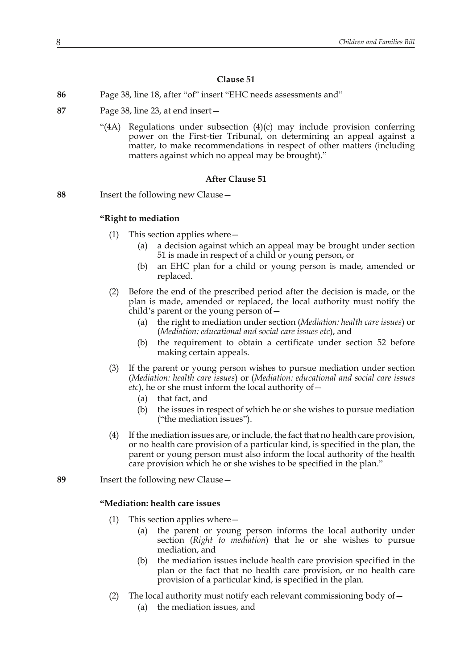- **86** Page 38, line 18, after "of" insert "EHC needs assessments and"
- **87** Page 38, line 23, at end insert—
	- "(4A) Regulations under subsection (4)(c) may include provision conferring power on the First-tier Tribunal, on determining an appeal against a matter, to make recommendations in respect of other matters (including matters against which no appeal may be brought)."

# **After Clause 51**

**88** Insert the following new Clause—

## **"Right to mediation**

- (1) This section applies where—
	- (a) a decision against which an appeal may be brought under section 51 is made in respect of a child or young person, or
	- (b) an EHC plan for a child or young person is made, amended or replaced.
- (2) Before the end of the prescribed period after the decision is made, or the plan is made, amended or replaced, the local authority must notify the child's parent or the young person of—
	- (a) the right to mediation under section (*Mediation: health care issues*) or (*Mediation: educational and social care issues etc*), and
	- (b) the requirement to obtain a certificate under section 52 before making certain appeals.
- (3) If the parent or young person wishes to pursue mediation under section (*Mediation: health care issues*) or (*Mediation: educational and social care issues etc*), he or she must inform the local authority of—
	- (a) that fact, and
	- (b) the issues in respect of which he or she wishes to pursue mediation ("the mediation issues").
- (4) If the mediation issues are, or include, the fact that no health care provision, or no health care provision of a particular kind, is specified in the plan, the parent or young person must also inform the local authority of the health care provision which he or she wishes to be specified in the plan."

**89** Insert the following new Clause—

# **"Mediation: health care issues**

- (1) This section applies where—
	- (a) the parent or young person informs the local authority under section (*Right to mediation*) that he or she wishes to pursue mediation, and
	- (b) the mediation issues include health care provision specified in the plan or the fact that no health care provision, or no health care provision of a particular kind, is specified in the plan.
- (2) The local authority must notify each relevant commissioning body of  $-$ 
	- (a) the mediation issues, and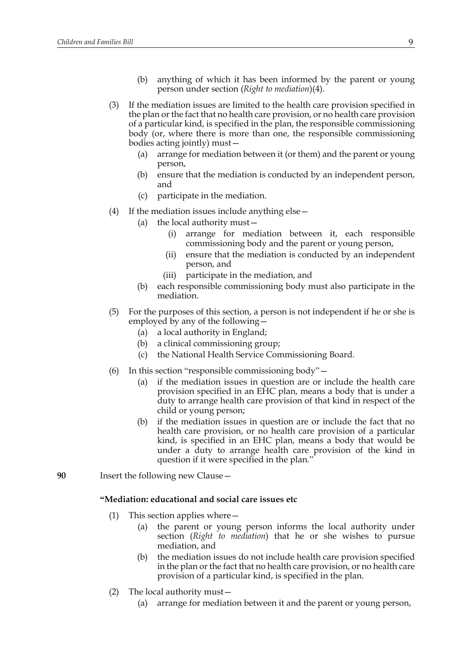- (b) anything of which it has been informed by the parent or young person under section (*Right to mediation*)(4).
- (3) If the mediation issues are limited to the health care provision specified in the plan or the fact that no health care provision, or no health care provision of a particular kind, is specified in the plan, the responsible commissioning body (or, where there is more than one, the responsible commissioning bodies acting jointly) must—
	- (a) arrange for mediation between it (or them) and the parent or young person,
	- (b) ensure that the mediation is conducted by an independent person, and
	- (c) participate in the mediation.
- (4) If the mediation issues include anything else—
	- (a) the local authority must—
		- (i) arrange for mediation between it, each responsible commissioning body and the parent or young person,
		- (ii) ensure that the mediation is conducted by an independent person, and
		- (iii) participate in the mediation, and
	- (b) each responsible commissioning body must also participate in the mediation.
- (5) For the purposes of this section, a person is not independent if he or she is employed by any of the following—
	- (a) a local authority in England;
	- (b) a clinical commissioning group;
	- (c) the National Health Service Commissioning Board.
- (6) In this section "responsible commissioning body"—
	- (a) if the mediation issues in question are or include the health care provision specified in an EHC plan, means a body that is under a duty to arrange health care provision of that kind in respect of the child or young person;
	- (b) if the mediation issues in question are or include the fact that no health care provision, or no health care provision of a particular kind, is specified in an EHC plan, means a body that would be under a duty to arrange health care provision of the kind in question if it were specified in the plan."
- **90** Insert the following new Clause—

#### **"Mediation: educational and social care issues etc**

- (1) This section applies where—
	- (a) the parent or young person informs the local authority under section (*Right to mediation*) that he or she wishes to pursue mediation, and
	- (b) the mediation issues do not include health care provision specified in the plan or the fact that no health care provision, or no health care provision of a particular kind, is specified in the plan.
- (2) The local authority must—
	- (a) arrange for mediation between it and the parent or young person,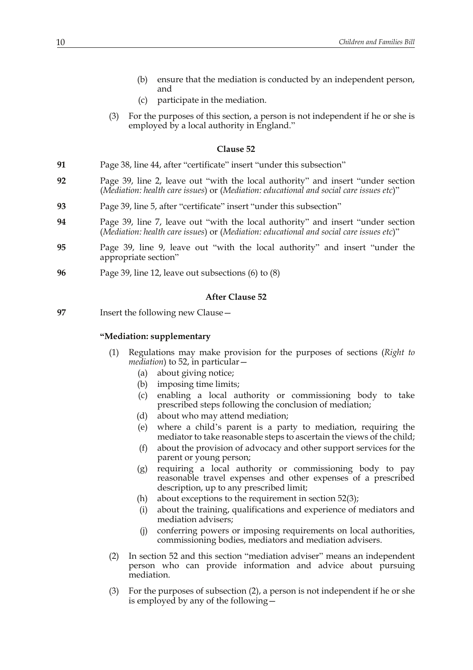- (b) ensure that the mediation is conducted by an independent person, and
- (c) participate in the mediation.
- (3) For the purposes of this section, a person is not independent if he or she is employed by a local authority in England."

- **91** Page 38, line 44, after "certificate" insert "under this subsection"
- **92** Page 39, line 2, leave out "with the local authority" and insert "under section (*Mediation: health care issues*) or (*Mediation: educational and social care issues etc*)"
- **93** Page 39, line 5, after "certificate" insert "under this subsection"
- **94** Page 39, line 7, leave out "with the local authority" and insert "under section (*Mediation: health care issues*) or (*Mediation: educational and social care issues etc*)"
- **95** Page 39, line 9, leave out "with the local authority" and insert "under the appropriate section"
- **96** Page 39, line 12, leave out subsections (6) to (8)

#### **After Clause 52**

**97** Insert the following new Clause—

# **"Mediation: supplementary**

- (1) Regulations may make provision for the purposes of sections (*Right to mediation*) to 52, in particular—
	- (a) about giving notice;
	- (b) imposing time limits;
	- (c) enabling a local authority or commissioning body to take prescribed steps following the conclusion of mediation;
	- (d) about who may attend mediation;
	- (e) where a child's parent is a party to mediation, requiring the mediator to take reasonable steps to ascertain the views of the child;
	- (f) about the provision of advocacy and other support services for the parent or young person;
	- (g) requiring a local authority or commissioning body to pay reasonable travel expenses and other expenses of a prescribed description, up to any prescribed limit;
	- (h) about exceptions to the requirement in section  $52(3)$ ;
	- (i) about the training, qualifications and experience of mediators and mediation advisers;
	- (j) conferring powers or imposing requirements on local authorities, commissioning bodies, mediators and mediation advisers.
- (2) In section 52 and this section "mediation adviser" means an independent person who can provide information and advice about pursuing mediation.
- (3) For the purposes of subsection (2), a person is not independent if he or she is employed by any of the following—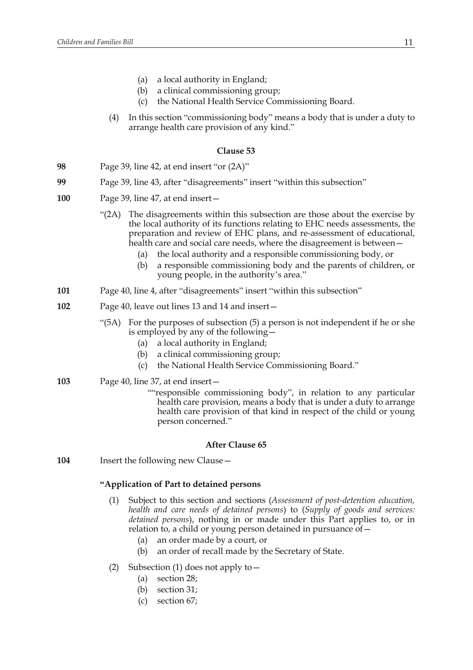- (a) a local authority in England;
- (b) a clinical commissioning group;
- (c) the National Health Service Commissioning Board.
- (4) In this section "commissioning body" means a body that is under a duty to arrange health care provision of any kind."

- **98** Page 39, line 42, at end insert "or (2A)"
- **99** Page 39, line 43, after "disagreements" insert "within this subsection"
- **100** Page 39, line 47, at end insert—
	- "(2A) The disagreements within this subsection are those about the exercise by the local authority of its functions relating to EHC needs assessments, the preparation and review of EHC plans, and re-assessment of educational, health care and social care needs, where the disagreement is between –
		- (a) the local authority and a responsible commissioning body, or
		- (b) a responsible commissioning body and the parents of children, or young people, in the authority's area."
- **101** Page 40, line 4, after "disagreements" insert "within this subsection"
- **102** Page 40, leave out lines 13 and 14 and insert—
	- "(5A) For the purposes of subsection (5) a person is not independent if he or she is employed by any of the following—
		- (a) a local authority in England;
		- (b) a clinical commissioning group;
		- (c) the National Health Service Commissioning Board."
- **103** Page 40, line 37, at end insert—
	- ""responsible commissioning body", in relation to any particular health care provision, means a body that is under a duty to arrange health care provision of that kind in respect of the child or young person concerned."

## **After Clause 65**

**104** Insert the following new Clause—

# **"Application of Part to detained persons**

- (1) Subject to this section and sections (*Assessment of post-detention education, health and care needs of detained persons*) to (*Supply of goods and services: detained persons*), nothing in or made under this Part applies to, or in relation to, a child or young person detained in pursuance of—
	- (a) an order made by a court, or
	- (b) an order of recall made by the Secretary of State.
- (2) Subsection (1) does not apply to—
	- (a) section 28;
	- (b) section 31;
	- (c) section 67;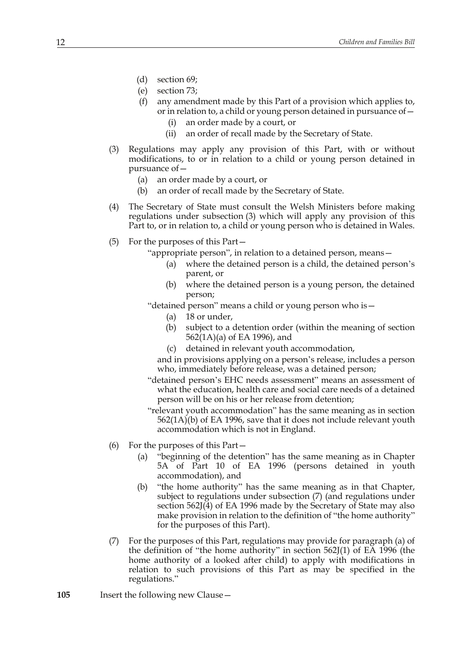- (d) section 69;
- (e) section 73;
- (f) any amendment made by this Part of a provision which applies to, or in relation to, a child or young person detained in pursuance of—
	- (i) an order made by a court, or
	- (ii) an order of recall made by the Secretary of State.
- (3) Regulations may apply any provision of this Part, with or without modifications, to or in relation to a child or young person detained in pursuance of—
	- (a) an order made by a court, or
	- (b) an order of recall made by the Secretary of State.
- (4) The Secretary of State must consult the Welsh Ministers before making regulations under subsection (3) which will apply any provision of this Part to, or in relation to, a child or young person who is detained in Wales.
- (5) For the purposes of this Part—

"appropriate person", in relation to a detained person, means—

- (a) where the detained person is a child, the detained person's parent, or
- (b) where the detained person is a young person, the detained person;
- "detained person" means a child or young person who is—
	- (a) 18 or under,
	- (b) subject to a detention order (within the meaning of section 562(1A)(a) of EA 1996), and
	- (c) detained in relevant youth accommodation,
	- and in provisions applying on a person's release, includes a person who, immediately before release, was a detained person;
- "detained person's EHC needs assessment" means an assessment of what the education, health care and social care needs of a detained person will be on his or her release from detention;
- "relevant youth accommodation" has the same meaning as in section 562(1A)(b) of EA 1996, save that it does not include relevant youth accommodation which is not in England.
- (6) For the purposes of this Part—
	- (a) "beginning of the detention" has the same meaning as in Chapter 5A of Part 10 of EA 1996 (persons detained in youth accommodation), and
	- (b) "the home authority" has the same meaning as in that Chapter, subject to regulations under subsection (7) (and regulations under section 562J(4) of EA 1996 made by the Secretary of State may also make provision in relation to the definition of "the home authority" for the purposes of this Part).
- (7) For the purposes of this Part, regulations may provide for paragraph (a) of the definition of "the home authority" in section 562J(1) of EA 1996 (the home authority of a looked after child) to apply with modifications in relation to such provisions of this Part as may be specified in the regulations."
- **105** Insert the following new Clause—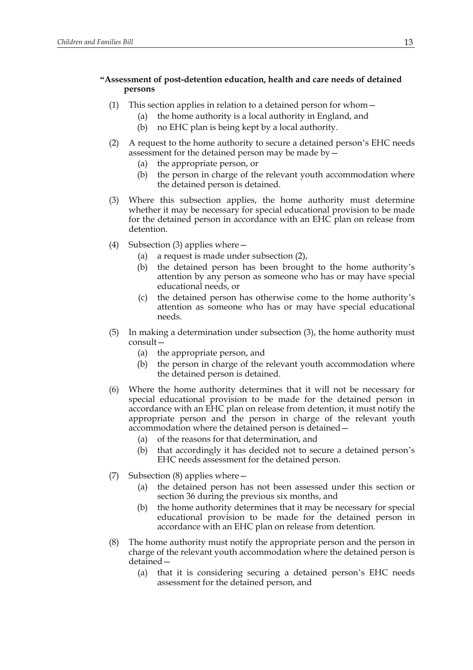# **"Assessment of post-detention education, health and care needs of detained persons**

- (1) This section applies in relation to a detained person for whom—
	- (a) the home authority is a local authority in England, and
	- (b) no EHC plan is being kept by a local authority.
- (2) A request to the home authority to secure a detained person's EHC needs assessment for the detained person may be made by—
	- (a) the appropriate person, or
	- (b) the person in charge of the relevant youth accommodation where the detained person is detained.
- (3) Where this subsection applies, the home authority must determine whether it may be necessary for special educational provision to be made for the detained person in accordance with an EHC plan on release from detention.
- (4) Subsection (3) applies where—
	- (a) a request is made under subsection (2),
	- (b) the detained person has been brought to the home authority's attention by any person as someone who has or may have special educational needs, or
	- (c) the detained person has otherwise come to the home authority's attention as someone who has or may have special educational needs.
- (5) In making a determination under subsection (3), the home authority must consult—
	- (a) the appropriate person, and
	- (b) the person in charge of the relevant youth accommodation where the detained person is detained.
- (6) Where the home authority determines that it will not be necessary for special educational provision to be made for the detained person in accordance with an EHC plan on release from detention, it must notify the appropriate person and the person in charge of the relevant youth accommodation where the detained person is detained—
	- (a) of the reasons for that determination, and
	- (b) that accordingly it has decided not to secure a detained person's EHC needs assessment for the detained person.
- (7) Subsection (8) applies where—
	- (a) the detained person has not been assessed under this section or section 36 during the previous six months, and
	- (b) the home authority determines that it may be necessary for special educational provision to be made for the detained person in accordance with an EHC plan on release from detention.
- (8) The home authority must notify the appropriate person and the person in charge of the relevant youth accommodation where the detained person is detained—
	- (a) that it is considering securing a detained person's EHC needs assessment for the detained person, and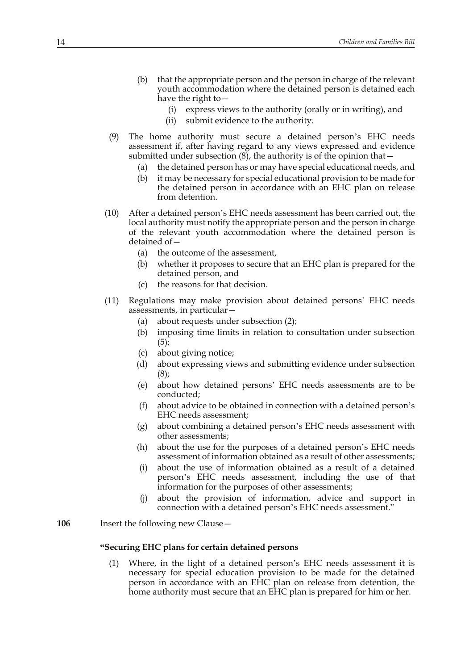- (b) that the appropriate person and the person in charge of the relevant youth accommodation where the detained person is detained each have the right to—
	- (i) express views to the authority (orally or in writing), and
	- (ii) submit evidence to the authority.
- (9) The home authority must secure a detained person's EHC needs assessment if, after having regard to any views expressed and evidence submitted under subsection  $(8)$ , the authority is of the opinion that —
	- (a) the detained person has or may have special educational needs, and
	- (b) it may be necessary for special educational provision to be made for the detained person in accordance with an EHC plan on release from detention.
- (10) After a detained person's EHC needs assessment has been carried out, the local authority must notify the appropriate person and the person in charge of the relevant youth accommodation where the detained person is detained of—
	- (a) the outcome of the assessment,
	- (b) whether it proposes to secure that an EHC plan is prepared for the detained person, and
	- (c) the reasons for that decision.
- (11) Regulations may make provision about detained persons' EHC needs assessments, in particular—
	- (a) about requests under subsection (2);
	- (b) imposing time limits in relation to consultation under subsection (5);
	- (c) about giving notice;
	- (d) about expressing views and submitting evidence under subsection  $(8)$ ;
	- (e) about how detained persons' EHC needs assessments are to be conducted;
	- (f) about advice to be obtained in connection with a detained person's EHC needs assessment;
	- (g) about combining a detained person's EHC needs assessment with other assessments;
	- (h) about the use for the purposes of a detained person's EHC needs assessment of information obtained as a result of other assessments;
	- (i) about the use of information obtained as a result of a detained person's EHC needs assessment, including the use of that information for the purposes of other assessments;
	- (j) about the provision of information, advice and support in connection with a detained person's EHC needs assessment."

## **106** Insert the following new Clause—

## **"Securing EHC plans for certain detained persons**

(1) Where, in the light of a detained person's EHC needs assessment it is necessary for special education provision to be made for the detained person in accordance with an EHC plan on release from detention, the home authority must secure that an EHC plan is prepared for him or her.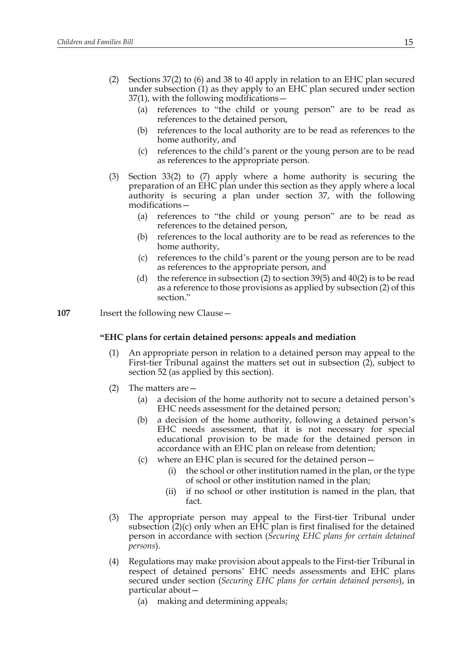- (2) Sections 37(2) to (6) and 38 to 40 apply in relation to an EHC plan secured under subsection (1) as they apply to an EHC plan secured under section 37(1), with the following modifications—
	- (a) references to "the child or young person" are to be read as references to the detained person,
	- (b) references to the local authority are to be read as references to the home authority, and
	- (c) references to the child's parent or the young person are to be read as references to the appropriate person.
- (3) Section 33(2) to (7) apply where a home authority is securing the preparation of an EHC plan under this section as they apply where a local authority is securing a plan under section 37, with the following modifications—
	- (a) references to "the child or young person" are to be read as references to the detained person,
	- (b) references to the local authority are to be read as references to the home authority,
	- (c) references to the child's parent or the young person are to be read as references to the appropriate person, and
	- (d) the reference in subsection (2) to section 39(5) and 40(2) is to be read as a reference to those provisions as applied by subsection (2) of this section."
- **107** Insert the following new Clause -

# **"EHC plans for certain detained persons: appeals and mediation**

- (1) An appropriate person in relation to a detained person may appeal to the First-tier Tribunal against the matters set out in subsection (2), subject to section 52 (as applied by this section).
- (2) The matters are—
	- (a) a decision of the home authority not to secure a detained person's EHC needs assessment for the detained person;
	- (b) a decision of the home authority, following a detained person's EHC needs assessment, that it is not necessary for special educational provision to be made for the detained person in accordance with an EHC plan on release from detention;
	- (c) where an EHC plan is secured for the detained person—
		- (i) the school or other institution named in the plan, or the type of school or other institution named in the plan;
		- (ii) if no school or other institution is named in the plan, that fact.
- (3) The appropriate person may appeal to the First-tier Tribunal under subsection  $(2)(c)$  only when an EHC plan is first finalised for the detained person in accordance with section (*Securing EHC plans for certain detained persons*).
- (4) Regulations may make provision about appeals to the First-tier Tribunal in respect of detained persons' EHC needs assessments and EHC plans secured under section (*Securing EHC plans for certain detained persons*), in particular about—
	- (a) making and determining appeals;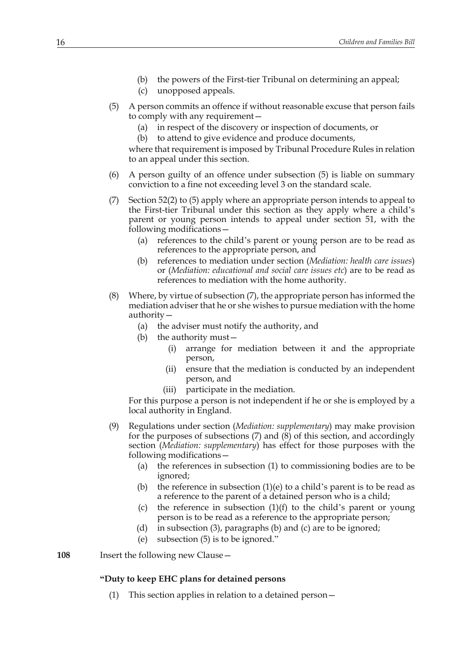- (b) the powers of the First-tier Tribunal on determining an appeal;
- (c) unopposed appeals.
- (5) A person commits an offence if without reasonable excuse that person fails to comply with any requirement—
	- (a) in respect of the discovery or inspection of documents, or
	- (b) to attend to give evidence and produce documents,

where that requirement is imposed by Tribunal Procedure Rules in relation to an appeal under this section.

- (6) A person guilty of an offence under subsection (5) is liable on summary conviction to a fine not exceeding level 3 on the standard scale.
- (7) Section 52(2) to (5) apply where an appropriate person intends to appeal to the First-tier Tribunal under this section as they apply where a child's parent or young person intends to appeal under section 51, with the following modifications—
	- (a) references to the child's parent or young person are to be read as references to the appropriate person, and
	- (b) references to mediation under section (*Mediation: health care issues*) or (*Mediation: educational and social care issues etc*) are to be read as references to mediation with the home authority.
- (8) Where, by virtue of subsection (7), the appropriate person has informed the mediation adviser that he or she wishes to pursue mediation with the home authority—
	- (a) the adviser must notify the authority, and
	- (b) the authority must—
		- (i) arrange for mediation between it and the appropriate person,
		- (ii) ensure that the mediation is conducted by an independent person, and
		- (iii) participate in the mediation.

For this purpose a person is not independent if he or she is employed by a local authority in England.

- (9) Regulations under section (*Mediation: supplementary*) may make provision for the purposes of subsections (7) and (8) of this section, and accordingly section (*Mediation: supplementary*) has effect for those purposes with the following modifications—
	- (a) the references in subsection (1) to commissioning bodies are to be ignored;
	- (b) the reference in subsection  $(1)(e)$  to a child's parent is to be read as a reference to the parent of a detained person who is a child;
	- (c) the reference in subsection  $(1)(f)$  to the child's parent or young person is to be read as a reference to the appropriate person;
	- (d) in subsection (3), paragraphs (b) and (c) are to be ignored;
	- (e) subsection (5) is to be ignored."

**108** Insert the following new Clause—

# **"Duty to keep EHC plans for detained persons**

(1) This section applies in relation to a detained person—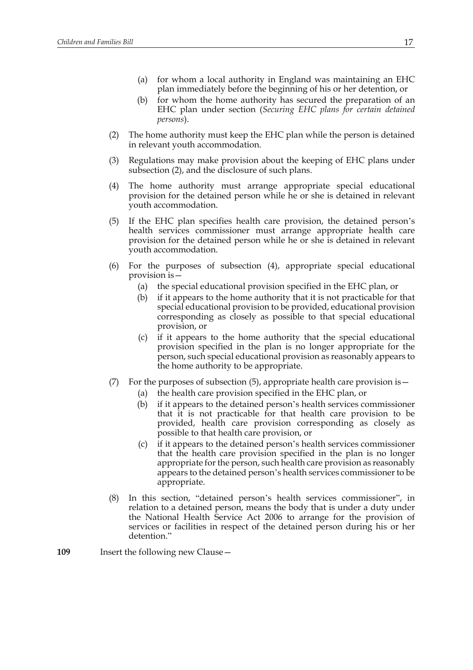- (a) for whom a local authority in England was maintaining an EHC plan immediately before the beginning of his or her detention, or
- (b) for whom the home authority has secured the preparation of an EHC plan under section (*Securing EHC plans for certain detained persons*).
- (2) The home authority must keep the EHC plan while the person is detained in relevant youth accommodation.
- (3) Regulations may make provision about the keeping of EHC plans under subsection (2), and the disclosure of such plans.
- (4) The home authority must arrange appropriate special educational provision for the detained person while he or she is detained in relevant youth accommodation.
- (5) If the EHC plan specifies health care provision, the detained person's health services commissioner must arrange appropriate health care provision for the detained person while he or she is detained in relevant youth accommodation.
- (6) For the purposes of subsection (4), appropriate special educational provision is—
	- (a) the special educational provision specified in the EHC plan, or
	- (b) if it appears to the home authority that it is not practicable for that special educational provision to be provided, educational provision corresponding as closely as possible to that special educational provision, or
	- (c) if it appears to the home authority that the special educational provision specified in the plan is no longer appropriate for the person, such special educational provision as reasonably appears to the home authority to be appropriate.
- (7) For the purposes of subsection  $(5)$ , appropriate health care provision is  $-$ 
	- (a) the health care provision specified in the EHC plan, or
	- (b) if it appears to the detained person's health services commissioner that it is not practicable for that health care provision to be provided, health care provision corresponding as closely as possible to that health care provision, or
	- (c) if it appears to the detained person's health services commissioner that the health care provision specified in the plan is no longer appropriate for the person, such health care provision as reasonably appears to the detained person's health services commissioner to be appropriate.
- (8) In this section, "detained person's health services commissioner", in relation to a detained person, means the body that is under a duty under the National Health Service Act 2006 to arrange for the provision of services or facilities in respect of the detained person during his or her detention."
- **109** Insert the following new Clause—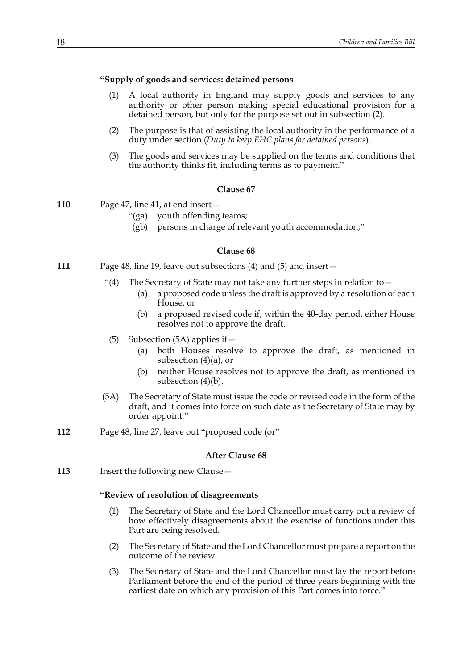## **"Supply of goods and services: detained persons**

- (1) A local authority in England may supply goods and services to any authority or other person making special educational provision for a detained person, but only for the purpose set out in subsection (2).
- (2) The purpose is that of assisting the local authority in the performance of a duty under section (*Duty to keep EHC plans for detained persons*).
- (3) The goods and services may be supplied on the terms and conditions that the authority thinks fit, including terms as to payment."

## **Clause 67**

- **110** Page 47, line 41, at end insert—
	- "(ga) youth offending teams;
	- (gb) persons in charge of relevant youth accommodation;"

## **Clause 68**

- **111** Page 48, line 19, leave out subsections (4) and (5) and insert—
	- "(4) The Secretary of State may not take any further steps in relation to  $-$ 
		- (a) a proposed code unless the draft is approved by a resolution of each House, or
		- (b) a proposed revised code if, within the 40-day period, either House resolves not to approve the draft.
	- (5) Subsection (5A) applies if—
		- (a) both Houses resolve to approve the draft, as mentioned in subsection  $(4)(a)$ , or
		- (b) neither House resolves not to approve the draft, as mentioned in subsection (4)(b).
	- (5A) The Secretary of State must issue the code or revised code in the form of the draft, and it comes into force on such date as the Secretary of State may by order appoint."
- **112** Page 48, line 27, leave out "proposed code (or"

#### **After Clause 68**

**113** Insert the following new Clause -

## **"Review of resolution of disagreements**

- (1) The Secretary of State and the Lord Chancellor must carry out a review of how effectively disagreements about the exercise of functions under this Part are being resolved.
- (2) The Secretary of State and the Lord Chancellor must prepare a report on the outcome of the review.
- (3) The Secretary of State and the Lord Chancellor must lay the report before Parliament before the end of the period of three years beginning with the earliest date on which any provision of this Part comes into force."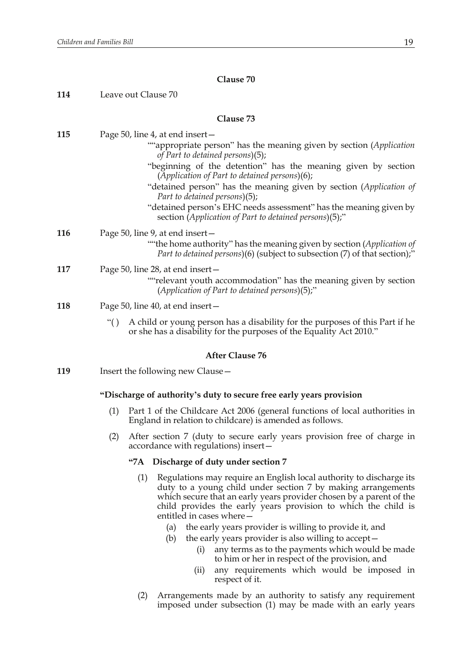| 114 | Leave out Clause 70                                                                                                                                                                                                                                                                                                                                                                                                                                                                                 |
|-----|-----------------------------------------------------------------------------------------------------------------------------------------------------------------------------------------------------------------------------------------------------------------------------------------------------------------------------------------------------------------------------------------------------------------------------------------------------------------------------------------------------|
|     | Clause 73                                                                                                                                                                                                                                                                                                                                                                                                                                                                                           |
| 115 | Page 50, line 4, at end insert –<br>""appropriate person" has the meaning given by section (Application<br>of Part to detained persons)(5);<br>"beginning of the detention" has the meaning given by section<br>(Application of Part to detained persons)(6);<br>"detained person" has the meaning given by section (Application of<br>Part to detained persons)(5);<br>"detained person's EHC needs assessment" has the meaning given by<br>section (Application of Part to detained persons)(5);" |
| 116 | Page 50, line 9, at end insert -<br>""the home authority" has the meaning given by section (Application of<br><i>Part to detained persons</i> )(6) (subject to subsection (7) of that section);"                                                                                                                                                                                                                                                                                                    |
| 117 | Page 50, line 28, at end insert-<br>""relevant youth accommodation" has the meaning given by section<br>(Application of Part to detained persons)(5);"                                                                                                                                                                                                                                                                                                                                              |
| 118 | Page 50, line 40, at end insert –                                                                                                                                                                                                                                                                                                                                                                                                                                                                   |
|     | A child or young person has a disability for the purposes of this Part if he<br>``()<br>or she has a disability for the purposes of the Equality Act 2010."                                                                                                                                                                                                                                                                                                                                         |
|     | <b>After Clause 76</b>                                                                                                                                                                                                                                                                                                                                                                                                                                                                              |
| 119 | Insert the following new Clause -                                                                                                                                                                                                                                                                                                                                                                                                                                                                   |
|     | "Discharge of authority's duty to secure free early years provision                                                                                                                                                                                                                                                                                                                                                                                                                                 |
|     | (1)<br>Part 1 of the Childcare Act 2006 (general functions of local authorities in<br>England in relation to childcare) is amended as follows.                                                                                                                                                                                                                                                                                                                                                      |
|     | (2)<br>After section 7 (duty to secure early years provision free of charge in<br>accordance with regulations) insert-                                                                                                                                                                                                                                                                                                                                                                              |
|     | "7A Discharge of duty under section 7                                                                                                                                                                                                                                                                                                                                                                                                                                                               |
|     | $(1)$ Regulations may require an English local authority to discharge its                                                                                                                                                                                                                                                                                                                                                                                                                           |

- (1) Regulations may require an English local authority to discharge its duty to a young child under section 7 by making arrangements which secure that an early years provider chosen by a parent of the child provides the early years provision to which the child is entitled in cases where—
	- (a) the early years provider is willing to provide it, and
	- (b) the early years provider is also willing to accept—
		- (i) any terms as to the payments which would be made to him or her in respect of the provision, and
		- (ii) any requirements which would be imposed in respect of it.
- (2) Arrangements made by an authority to satisfy any requirement imposed under subsection (1) may be made with an early years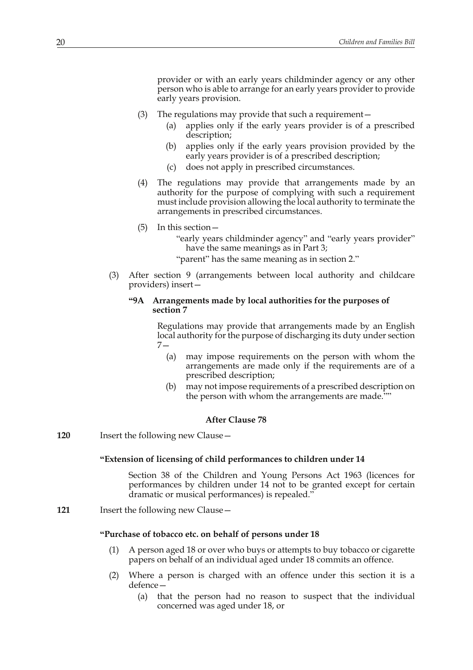provider or with an early years childminder agency or any other person who is able to arrange for an early years provider to provide early years provision.

- (3) The regulations may provide that such a requirement—
	- (a) applies only if the early years provider is of a prescribed description;
	- (b) applies only if the early years provision provided by the early years provider is of a prescribed description;
	- (c) does not apply in prescribed circumstances.
- (4) The regulations may provide that arrangements made by an authority for the purpose of complying with such a requirement must include provision allowing the local authority to terminate the arrangements in prescribed circumstances.
- (5) In this section—

"early years childminder agency" and "early years provider" have the same meanings as in Part 3;

"parent" has the same meaning as in section 2."

(3) After section 9 (arrangements between local authority and childcare providers) insert—

# **"9A Arrangements made by local authorities for the purposes of section 7**

Regulations may provide that arrangements made by an English local authority for the purpose of discharging its duty under section 7—

- (a) may impose requirements on the person with whom the arrangements are made only if the requirements are of a prescribed description;
- (b) may not impose requirements of a prescribed description on the person with whom the arrangements are made.""

## **After Clause 78**

**120** Insert the following new Clause—

## **"Extension of licensing of child performances to children under 14**

Section 38 of the Children and Young Persons Act 1963 (licences for performances by children under 14 not to be granted except for certain dramatic or musical performances) is repealed."

**121** Insert the following new Clause—

# **"Purchase of tobacco etc. on behalf of persons under 18**

- (1) A person aged 18 or over who buys or attempts to buy tobacco or cigarette papers on behalf of an individual aged under 18 commits an offence.
- (2) Where a person is charged with an offence under this section it is a defence—
	- (a) that the person had no reason to suspect that the individual concerned was aged under 18, or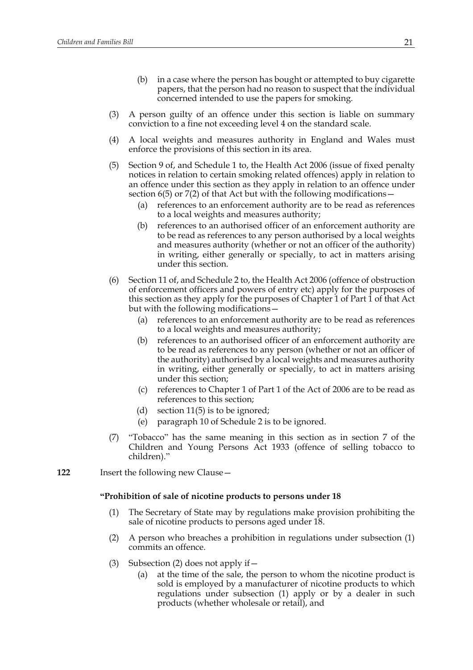- (b) in a case where the person has bought or attempted to buy cigarette papers, that the person had no reason to suspect that the individual concerned intended to use the papers for smoking.
- (3) A person guilty of an offence under this section is liable on summary conviction to a fine not exceeding level 4 on the standard scale.
- (4) A local weights and measures authority in England and Wales must enforce the provisions of this section in its area.
- (5) Section 9 of, and Schedule 1 to, the Health Act 2006 (issue of fixed penalty notices in relation to certain smoking related offences) apply in relation to an offence under this section as they apply in relation to an offence under section  $6(5)$  or  $7(2)$  of that Act but with the following modifications –
	- (a) references to an enforcement authority are to be read as references to a local weights and measures authority;
	- (b) references to an authorised officer of an enforcement authority are to be read as references to any person authorised by a local weights and measures authority (whether or not an officer of the authority) in writing, either generally or specially, to act in matters arising under this section.
- (6) Section 11 of, and Schedule 2 to, the Health Act 2006 (offence of obstruction of enforcement officers and powers of entry etc) apply for the purposes of this section as they apply for the purposes of Chapter 1 of Part 1 of that Act but with the following modifications—
	- (a) references to an enforcement authority are to be read as references to a local weights and measures authority;
	- (b) references to an authorised officer of an enforcement authority are to be read as references to any person (whether or not an officer of the authority) authorised by a local weights and measures authority in writing, either generally or specially, to act in matters arising under this section;
	- (c) references to Chapter 1 of Part 1 of the Act of 2006 are to be read as references to this section;
	- (d) section 11(5) is to be ignored;
	- (e) paragraph 10 of Schedule 2 is to be ignored.
- (7) "Tobacco" has the same meaning in this section as in section 7 of the Children and Young Persons Act 1933 (offence of selling tobacco to children)."
- **122** Insert the following new Clause—

#### **"Prohibition of sale of nicotine products to persons under 18**

- (1) The Secretary of State may by regulations make provision prohibiting the sale of nicotine products to persons aged under 18.
- (2) A person who breaches a prohibition in regulations under subsection (1) commits an offence.
- (3) Subsection (2) does not apply if  $-$ 
	- (a) at the time of the sale, the person to whom the nicotine product is sold is employed by a manufacturer of nicotine products to which regulations under subsection (1) apply or by a dealer in such products (whether wholesale or retail), and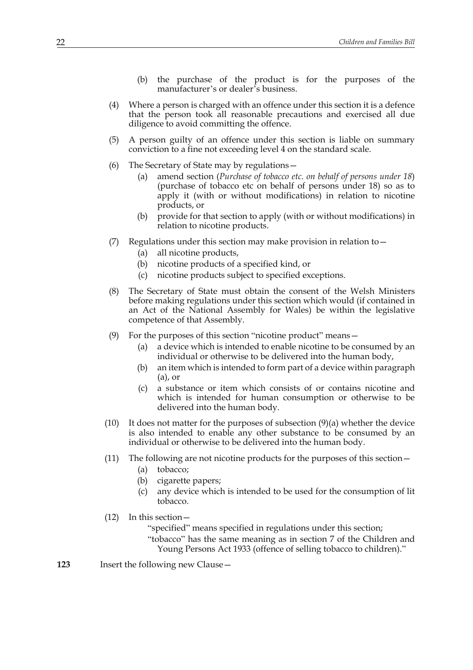- (b) the purchase of the product is for the purposes of the manufacturer's or dealer's business.
- (4) Where a person is charged with an offence under this section it is a defence that the person took all reasonable precautions and exercised all due diligence to avoid committing the offence.
- (5) A person guilty of an offence under this section is liable on summary conviction to a fine not exceeding level 4 on the standard scale.
- (6) The Secretary of State may by regulations—
	- (a) amend section (*Purchase of tobacco etc. on behalf of persons under 18*) (purchase of tobacco etc on behalf of persons under 18) so as to apply it (with or without modifications) in relation to nicotine products, or
	- (b) provide for that section to apply (with or without modifications) in relation to nicotine products.
- (7) Regulations under this section may make provision in relation to  $-$ 
	- (a) all nicotine products,
	- (b) nicotine products of a specified kind, or
	- (c) nicotine products subject to specified exceptions.
- (8) The Secretary of State must obtain the consent of the Welsh Ministers before making regulations under this section which would (if contained in an Act of the National Assembly for Wales) be within the legislative competence of that Assembly.
- (9) For the purposes of this section "nicotine product" means—
	- (a) a device which is intended to enable nicotine to be consumed by an individual or otherwise to be delivered into the human body,
	- (b) an item which is intended to form part of a device within paragraph (a), or
	- (c) a substance or item which consists of or contains nicotine and which is intended for human consumption or otherwise to be delivered into the human body.
- (10) It does not matter for the purposes of subsection (9)(a) whether the device is also intended to enable any other substance to be consumed by an individual or otherwise to be delivered into the human body.
- (11) The following are not nicotine products for the purposes of this section—
	- (a) tobacco;
	- (b) cigarette papers;
	- (c) any device which is intended to be used for the consumption of lit tobacco.
- (12) In this section—
	- "specified" means specified in regulations under this section;
	- "tobacco" has the same meaning as in section 7 of the Children and Young Persons Act 1933 (offence of selling tobacco to children)."
- **123** Insert the following new Clause—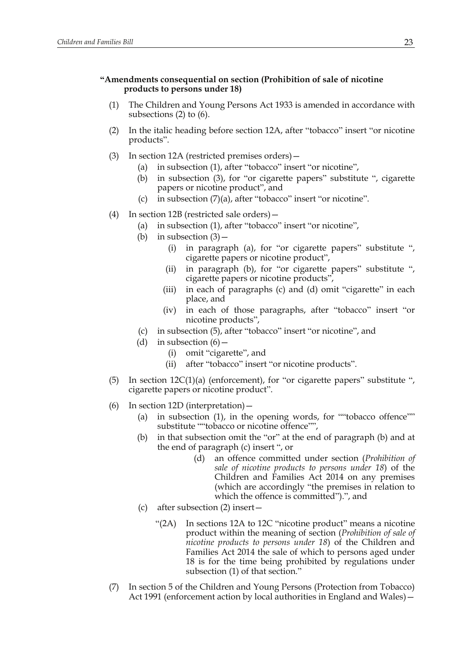# **"Amendments consequential on section (Prohibition of sale of nicotine products to persons under 18)**

- (1) The Children and Young Persons Act 1933 is amended in accordance with subsections (2) to (6).
- (2) In the italic heading before section 12A, after "tobacco" insert "or nicotine products".
- (3) In section 12A (restricted premises orders)—
	- (a) in subsection (1), after "tobacco" insert "or nicotine",
	- (b) in subsection (3), for "or cigarette papers" substitute ", cigarette papers or nicotine product", and
	- (c) in subsection (7)(a), after "tobacco" insert "or nicotine".
- (4) In section 12B (restricted sale orders)—
	- (a) in subsection (1), after "tobacco" insert "or nicotine",
	- (b) in subsection  $(3)$ 
		- (i) in paragraph (a), for "or cigarette papers" substitute ", cigarette papers or nicotine product",
		- (ii) in paragraph (b), for "or cigarette papers" substitute ", cigarette papers or nicotine products",
		- (iii) in each of paragraphs (c) and (d) omit "cigarette" in each place, and
		- (iv) in each of those paragraphs, after "tobacco" insert "or nicotine products",
	- (c) in subsection (5), after "tobacco" insert "or nicotine", and
	- (d) in subsection  $(6)$ 
		- (i) omit "cigarette", and
		- (ii) after "tobacco" insert "or nicotine products".
- (5) In section  $12C(1)(a)$  (enforcement), for "or cigarette papers" substitute ", cigarette papers or nicotine product".
- (6) In section 12D (interpretation)—
	- (a) in subsection (1), in the opening words, for ""tobacco offence"" substitute ""tobacco or nicotine offence"",
	- (b) in that subsection omit the "or" at the end of paragraph (b) and at the end of paragraph (c) insert ", or
		- (d) an offence committed under section (*Prohibition of sale of nicotine products to persons under 18*) of the Children and Families Act 2014 on any premises (which are accordingly "the premises in relation to which the offence is committed").", and
	- (c) after subsection (2) insert—
		- "(2A) In sections 12A to 12C "nicotine product" means a nicotine product within the meaning of section (*Prohibition of sale of nicotine products to persons under 18*) of the Children and Families Act 2014 the sale of which to persons aged under 18 is for the time being prohibited by regulations under subsection (1) of that section."
- (7) In section 5 of the Children and Young Persons (Protection from Tobacco) Act 1991 (enforcement action by local authorities in England and Wales)—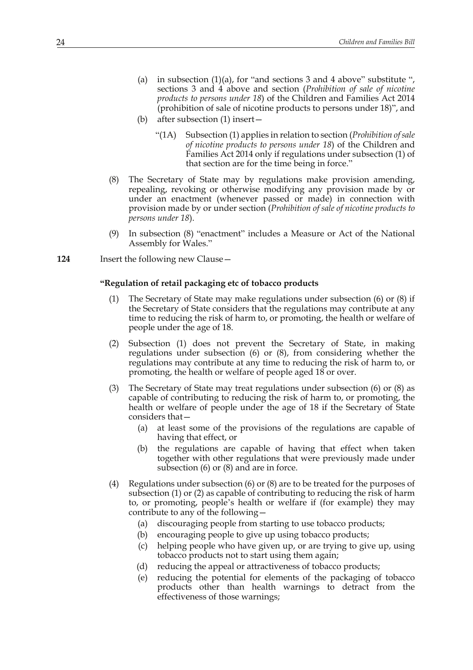- (a) in subsection  $(1)(a)$ , for "and sections 3 and 4 above" substitute ", sections 3 and 4 above and section (*Prohibition of sale of nicotine products to persons under 18*) of the Children and Families Act 2014 (prohibition of sale of nicotine products to persons under 18)", and
- (b) after subsection (1) insert—
	- "(1A) Subsection (1) applies in relation to section (*Prohibition of sale of nicotine products to persons under 18*) of the Children and Families Act 2014 only if regulations under subsection (1) of that section are for the time being in force."
- (8) The Secretary of State may by regulations make provision amending, repealing, revoking or otherwise modifying any provision made by or under an enactment (whenever passed or made) in connection with provision made by or under section (*Prohibition of sale of nicotine products to persons under 18*).
- (9) In subsection (8) "enactment" includes a Measure or Act of the National Assembly for Wales."
- **124** Insert the following new Clause—

# **"Regulation of retail packaging etc of tobacco products**

- (1) The Secretary of State may make regulations under subsection (6) or (8) if the Secretary of State considers that the regulations may contribute at any time to reducing the risk of harm to, or promoting, the health or welfare of people under the age of 18.
- (2) Subsection (1) does not prevent the Secretary of State, in making regulations under subsection (6) or (8), from considering whether the regulations may contribute at any time to reducing the risk of harm to, or promoting, the health or welfare of people aged 18 or over.
- (3) The Secretary of State may treat regulations under subsection (6) or (8) as capable of contributing to reducing the risk of harm to, or promoting, the health or welfare of people under the age of 18 if the Secretary of State considers that—
	- (a) at least some of the provisions of the regulations are capable of having that effect, or
	- (b) the regulations are capable of having that effect when taken together with other regulations that were previously made under subsection (6) or (8) and are in force.
- (4) Regulations under subsection (6) or (8) are to be treated for the purposes of subsection (1) or (2) as capable of contributing to reducing the risk of harm to, or promoting, people's health or welfare if (for example) they may contribute to any of the following—
	- (a) discouraging people from starting to use tobacco products;
	- (b) encouraging people to give up using tobacco products;
	- (c) helping people who have given up, or are trying to give up, using tobacco products not to start using them again;
	- (d) reducing the appeal or attractiveness of tobacco products;
	- (e) reducing the potential for elements of the packaging of tobacco products other than health warnings to detract from the effectiveness of those warnings;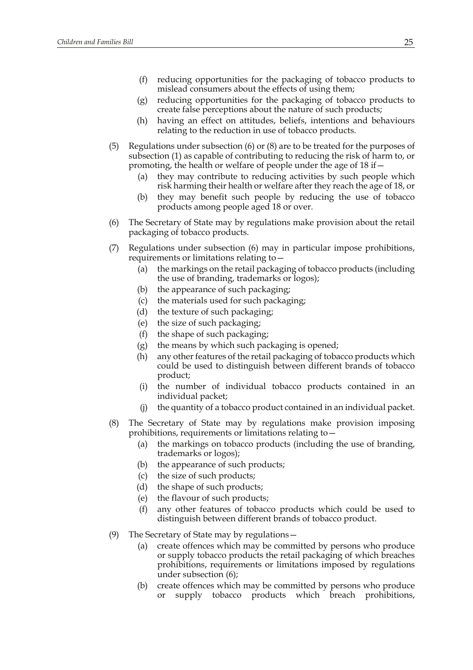- (f) reducing opportunities for the packaging of tobacco products to mislead consumers about the effects of using them;
- (g) reducing opportunities for the packaging of tobacco products to create false perceptions about the nature of such products;
- (h) having an effect on attitudes, beliefs, intentions and behaviours relating to the reduction in use of tobacco products.
- (5) Regulations under subsection (6) or (8) are to be treated for the purposes of subsection (1) as capable of contributing to reducing the risk of harm to, or promoting, the health or welfare of people under the age of 18 if—
	- (a) they may contribute to reducing activities by such people which risk harming their health or welfare after they reach the age of 18, or
	- (b) they may benefit such people by reducing the use of tobacco products among people aged 18 or over.
- (6) The Secretary of State may by regulations make provision about the retail packaging of tobacco products.
- (7) Regulations under subsection (6) may in particular impose prohibitions, requirements or limitations relating to—
	- (a) the markings on the retail packaging of tobacco products (including the use of branding, trademarks or logos);
	- (b) the appearance of such packaging;
	- (c) the materials used for such packaging;
	- (d) the texture of such packaging;
	- (e) the size of such packaging;
	- (f) the shape of such packaging;
	- (g) the means by which such packaging is opened;
	- (h) any other features of the retail packaging of tobacco products which could be used to distinguish between different brands of tobacco product;
	- (i) the number of individual tobacco products contained in an individual packet;
	- (j) the quantity of a tobacco product contained in an individual packet.
- (8) The Secretary of State may by regulations make provision imposing prohibitions, requirements or limitations relating to—
	- (a) the markings on tobacco products (including the use of branding, trademarks or logos);
	- (b) the appearance of such products;
	- (c) the size of such products;
	- (d) the shape of such products;
	- (e) the flavour of such products;
	- (f) any other features of tobacco products which could be used to distinguish between different brands of tobacco product.
- (9) The Secretary of State may by regulations—
	- (a) create offences which may be committed by persons who produce or supply tobacco products the retail packaging of which breaches prohibitions, requirements or limitations imposed by regulations under subsection (6);
	- (b) create offences which may be committed by persons who produce or supply tobacco products which breach prohibitions,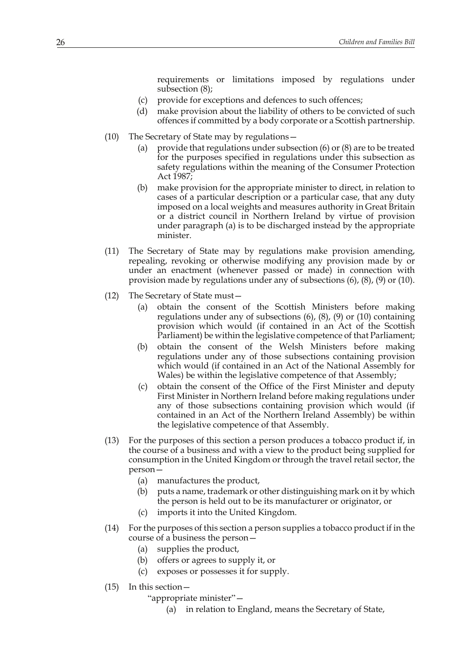requirements or limitations imposed by regulations under subsection (8);

- (c) provide for exceptions and defences to such offences;
- (d) make provision about the liability of others to be convicted of such offences if committed by a body corporate or a Scottish partnership.
- (10) The Secretary of State may by regulations—
	- (a) provide that regulations under subsection (6) or (8) are to be treated for the purposes specified in regulations under this subsection as safety regulations within the meaning of the Consumer Protection Act 1987;
	- (b) make provision for the appropriate minister to direct, in relation to cases of a particular description or a particular case, that any duty imposed on a local weights and measures authority in Great Britain or a district council in Northern Ireland by virtue of provision under paragraph (a) is to be discharged instead by the appropriate minister.
- (11) The Secretary of State may by regulations make provision amending, repealing, revoking or otherwise modifying any provision made by or under an enactment (whenever passed or made) in connection with provision made by regulations under any of subsections (6), (8), (9) or (10).
- (12) The Secretary of State must—
	- (a) obtain the consent of the Scottish Ministers before making regulations under any of subsections (6), (8), (9) or (10) containing provision which would (if contained in an Act of the Scottish Parliament) be within the legislative competence of that Parliament;
	- (b) obtain the consent of the Welsh Ministers before making regulations under any of those subsections containing provision which would (if contained in an Act of the National Assembly for Wales) be within the legislative competence of that Assembly;
	- (c) obtain the consent of the Office of the First Minister and deputy First Minister in Northern Ireland before making regulations under any of those subsections containing provision which would (if contained in an Act of the Northern Ireland Assembly) be within the legislative competence of that Assembly.
- (13) For the purposes of this section a person produces a tobacco product if, in the course of a business and with a view to the product being supplied for consumption in the United Kingdom or through the travel retail sector, the person—
	- (a) manufactures the product,
	- (b) puts a name, trademark or other distinguishing mark on it by which the person is held out to be its manufacturer or originator, or
	- (c) imports it into the United Kingdom.
- (14) For the purposes of this section a person supplies a tobacco product if in the course of a business the person—
	- (a) supplies the product,
	- (b) offers or agrees to supply it, or
	- (c) exposes or possesses it for supply.
- (15) In this section—
	- "appropriate minister"—
		- (a) in relation to England, means the Secretary of State,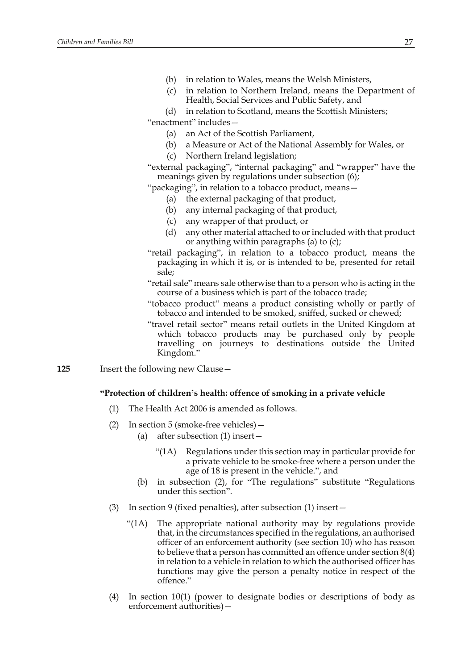- (b) in relation to Wales, means the Welsh Ministers,
- (c) in relation to Northern Ireland, means the Department of Health, Social Services and Public Safety, and
- (d) in relation to Scotland, means the Scottish Ministers;
- "enactment" includes—
	- (a) an Act of the Scottish Parliament,
	- (b) a Measure or Act of the National Assembly for Wales, or
	- (c) Northern Ireland legislation;

"external packaging", "internal packaging" and "wrapper" have the meanings given by regulations under subsection (6);

"packaging", in relation to a tobacco product, means—

- (a) the external packaging of that product,
- (b) any internal packaging of that product,
- (c) any wrapper of that product, or
- (d) any other material attached to or included with that product or anything within paragraphs (a) to (c);
- "retail packaging", in relation to a tobacco product, means the packaging in which it is, or is intended to be, presented for retail sale;
- "retail sale" means sale otherwise than to a person who is acting in the course of a business which is part of the tobacco trade;
- "tobacco product" means a product consisting wholly or partly of tobacco and intended to be smoked, sniffed, sucked or chewed;
- "travel retail sector" means retail outlets in the United Kingdom at which tobacco products may be purchased only by people travelling on journeys to destinations outside the United Kingdom."
- **125** Insert the following new Clause—

#### **"Protection of children's health: offence of smoking in a private vehicle**

- (1) The Health Act 2006 is amended as follows.
- (2) In section 5 (smoke-free vehicles)—
	- (a) after subsection (1) insert—
		- "(1A) Regulations under this section may in particular provide for a private vehicle to be smoke-free where a person under the age of 18 is present in the vehicle.", and
	- (b) in subsection (2), for "The regulations" substitute "Regulations under this section".
- (3) In section 9 (fixed penalties), after subsection (1) insert—
	- "(1A) The appropriate national authority may by regulations provide that, in the circumstances specified in the regulations, an authorised officer of an enforcement authority (see section 10) who has reason to believe that a person has committed an offence under section 8(4) in relation to a vehicle in relation to which the authorised officer has functions may give the person a penalty notice in respect of the offence."
- (4) In section 10(1) (power to designate bodies or descriptions of body as enforcement authorities)—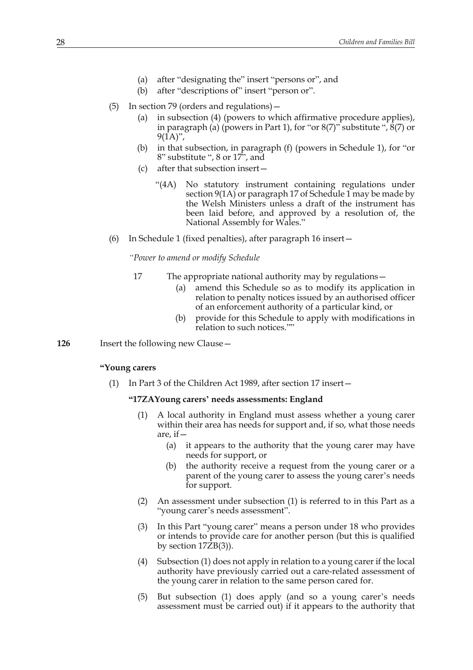- (a) after "designating the" insert "persons or", and
- (b) after "descriptions of" insert "person or".
- (5) In section 79 (orders and regulations)—
	- (a) in subsection (4) (powers to which affirmative procedure applies), in paragraph (a) (powers in Part 1), for "or  $8(7)$ " substitute ",  $8(7)$  or  $9(1A)$ ",
	- (b) in that subsection, in paragraph (f) (powers in Schedule 1), for "or 8" substitute ", 8 or 17", and
	- (c) after that subsection insert—
		- "(4A) No statutory instrument containing regulations under section 9(1A) or paragraph 17 of Schedule 1 may be made by the Welsh Ministers unless a draft of the instrument has been laid before, and approved by a resolution of, the National Assembly for Wales."
- (6) In Schedule 1 (fixed penalties), after paragraph 16 insert—

*"Power to amend or modify Schedule*

- 17 The appropriate national authority may by regulations—
	- (a) amend this Schedule so as to modify its application in relation to penalty notices issued by an authorised officer of an enforcement authority of a particular kind, or
	- (b) provide for this Schedule to apply with modifications in relation to such notices.""
- **126** Insert the following new Clause—

#### **"Young carers**

(1) In Part 3 of the Children Act 1989, after section 17 insert—

#### **"17ZAYoung carers' needs assessments: England**

- (1) A local authority in England must assess whether a young carer within their area has needs for support and, if so, what those needs are, if—
	- (a) it appears to the authority that the young carer may have needs for support, or
	- (b) the authority receive a request from the young carer or a parent of the young carer to assess the young carer's needs for support.
- (2) An assessment under subsection (1) is referred to in this Part as a "young carer's needs assessment".
- (3) In this Part "young carer" means a person under 18 who provides or intends to provide care for another person (but this is qualified by section  $17\overline{Z}B(3)$ ).
- (4) Subsection (1) does not apply in relation to a young carer if the local authority have previously carried out a care-related assessment of the young carer in relation to the same person cared for.
- (5) But subsection (1) does apply (and so a young carer's needs assessment must be carried out) if it appears to the authority that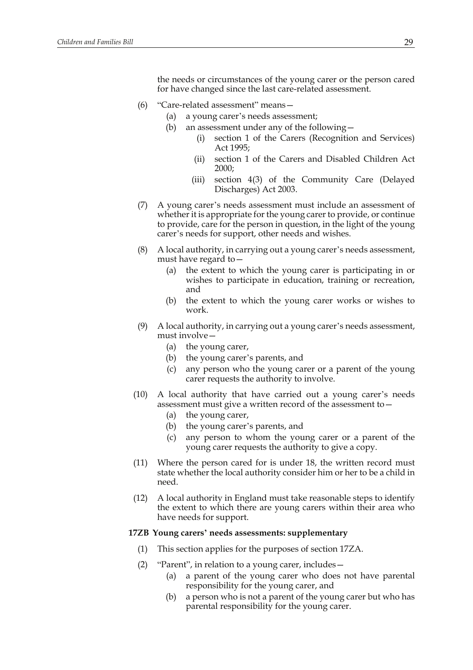the needs or circumstances of the young carer or the person cared for have changed since the last care-related assessment.

- (6) "Care-related assessment" means—
	- (a) a young carer's needs assessment;
	- (b) an assessment under any of the following—
		- (i) section 1 of the Carers (Recognition and Services) Act 1995;
		- (ii) section 1 of the Carers and Disabled Children Act 2000;
		- (iii) section 4(3) of the Community Care (Delayed Discharges) Act 2003.
- (7) A young carer's needs assessment must include an assessment of whether it is appropriate for the young carer to provide, or continue to provide, care for the person in question, in the light of the young carer's needs for support, other needs and wishes.
- (8) A local authority, in carrying out a young carer's needs assessment, must have regard to—
	- (a) the extent to which the young carer is participating in or wishes to participate in education, training or recreation, and
	- (b) the extent to which the young carer works or wishes to work.
- (9) A local authority, in carrying out a young carer's needs assessment, must involve—
	- (a) the young carer,
	- (b) the young carer's parents, and
	- (c) any person who the young carer or a parent of the young carer requests the authority to involve.
- (10) A local authority that have carried out a young carer's needs assessment must give a written record of the assessment to—
	- (a) the young carer,
	- (b) the young carer's parents, and
	- (c) any person to whom the young carer or a parent of the young carer requests the authority to give a copy.
- (11) Where the person cared for is under 18, the written record must state whether the local authority consider him or her to be a child in need.
- (12) A local authority in England must take reasonable steps to identify the extent to which there are young carers within their area who have needs for support.

#### **17ZB Young carers' needs assessments: supplementary**

- (1) This section applies for the purposes of section 17ZA.
- (2) "Parent", in relation to a young carer, includes—
	- (a) a parent of the young carer who does not have parental responsibility for the young carer, and
	- (b) a person who is not a parent of the young carer but who has parental responsibility for the young carer.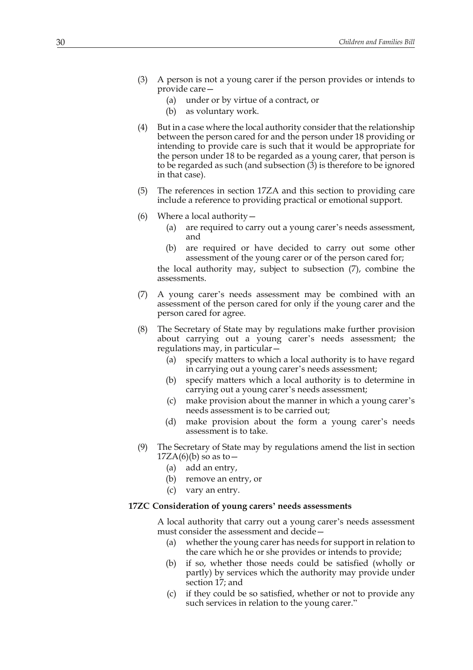- (3) A person is not a young carer if the person provides or intends to provide care—
	- (a) under or by virtue of a contract, or
	- (b) as voluntary work.
- (4) But in a case where the local authority consider that the relationship between the person cared for and the person under 18 providing or intending to provide care is such that it would be appropriate for the person under 18 to be regarded as a young carer, that person is to be regarded as such (and subsection (3) is therefore to be ignored in that case).
- (5) The references in section 17ZA and this section to providing care include a reference to providing practical or emotional support.
- (6) Where a local authority—
	- (a) are required to carry out a young carer's needs assessment, and
	- (b) are required or have decided to carry out some other assessment of the young carer or of the person cared for;

the local authority may, subject to subsection (7), combine the assessments.

- (7) A young carer's needs assessment may be combined with an assessment of the person cared for only if the young carer and the person cared for agree.
- (8) The Secretary of State may by regulations make further provision about carrying out a young carer's needs assessment; the regulations may, in particular—
	- (a) specify matters to which a local authority is to have regard in carrying out a young carer's needs assessment;
	- (b) specify matters which a local authority is to determine in carrying out a young carer's needs assessment;
	- (c) make provision about the manner in which a young carer's needs assessment is to be carried out;
	- (d) make provision about the form a young carer's needs assessment is to take.
- (9) The Secretary of State may by regulations amend the list in section  $17ZA(6)(b)$  so as to  $-$ 
	- (a) add an entry,
	- (b) remove an entry, or
	- (c) vary an entry.

#### **17ZC Consideration of young carers' needs assessments**

A local authority that carry out a young carer's needs assessment must consider the assessment and decide—

- (a) whether the young carer has needs for support in relation to the care which he or she provides or intends to provide;
- (b) if so, whether those needs could be satisfied (wholly or partly) by services which the authority may provide under section 17; and
- (c) if they could be so satisfied, whether or not to provide any such services in relation to the young carer."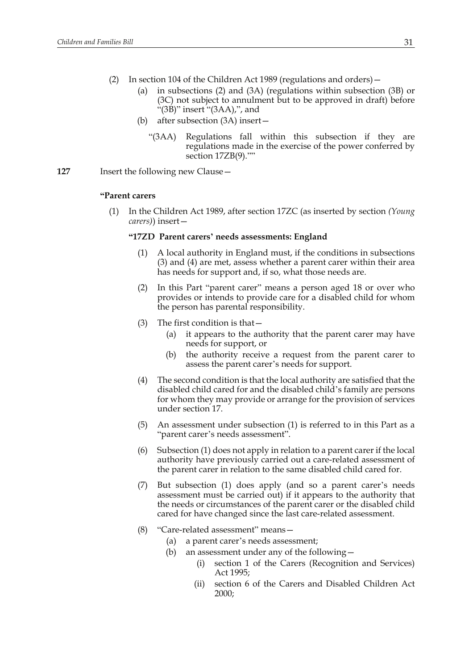- (2) In section 104 of the Children Act 1989 (regulations and orders)—
	- (a) in subsections (2) and (3A) (regulations within subsection (3B) or (3C) not subject to annulment but to be approved in draft) before "(3B)" insert "(3AA),", and
	- (b) after subsection (3A) insert—
		- "(3AA) Regulations fall within this subsection if they are regulations made in the exercise of the power conferred by section 17ZB(9).""
- **127** Insert the following new Clause—

## **"Parent carers**

(1) In the Children Act 1989, after section 17ZC (as inserted by section *(Young carers)*) insert—

#### **"17ZD Parent carers' needs assessments: England**

- (1) A local authority in England must, if the conditions in subsections (3) and (4) are met, assess whether a parent carer within their area has needs for support and, if so, what those needs are.
- (2) In this Part "parent carer" means a person aged 18 or over who provides or intends to provide care for a disabled child for whom the person has parental responsibility.
- (3) The first condition is that—
	- (a) it appears to the authority that the parent carer may have needs for support, or
	- (b) the authority receive a request from the parent carer to assess the parent carer's needs for support.
- (4) The second condition is that the local authority are satisfied that the disabled child cared for and the disabled child's family are persons for whom they may provide or arrange for the provision of services under section 17.
- (5) An assessment under subsection (1) is referred to in this Part as a "parent carer's needs assessment".
- (6) Subsection (1) does not apply in relation to a parent carer if the local authority have previously carried out a care-related assessment of the parent carer in relation to the same disabled child cared for.
- (7) But subsection (1) does apply (and so a parent carer's needs assessment must be carried out) if it appears to the authority that the needs or circumstances of the parent carer or the disabled child cared for have changed since the last care-related assessment.
- (8) "Care-related assessment" means—
	- (a) a parent carer's needs assessment;
	- (b) an assessment under any of the following—
		- (i) section 1 of the Carers (Recognition and Services) Act 1995;
		- (ii) section 6 of the Carers and Disabled Children Act 2000;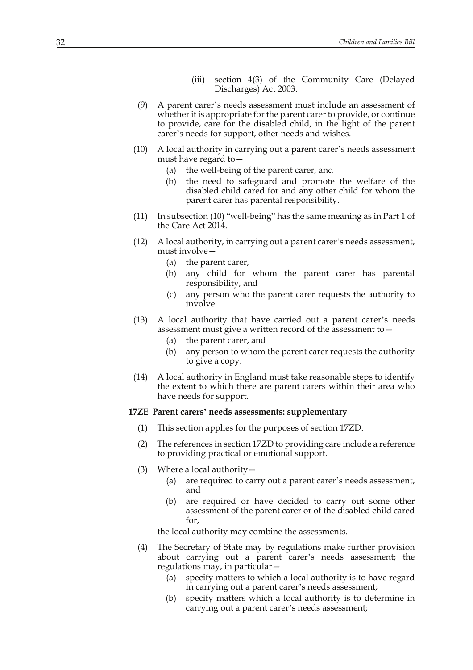- (iii) section 4(3) of the Community Care (Delayed Discharges) Act 2003.
- (9) A parent carer's needs assessment must include an assessment of whether it is appropriate for the parent carer to provide, or continue to provide, care for the disabled child, in the light of the parent carer's needs for support, other needs and wishes.
- (10) A local authority in carrying out a parent carer's needs assessment must have regard to—
	- (a) the well-being of the parent carer, and
	- (b) the need to safeguard and promote the welfare of the disabled child cared for and any other child for whom the parent carer has parental responsibility.
- (11) In subsection (10) "well-being" has the same meaning as in Part 1 of the Care Act 2014.
- (12) A local authority, in carrying out a parent carer's needs assessment, must involve—
	- (a) the parent carer,
	- (b) any child for whom the parent carer has parental responsibility, and
	- (c) any person who the parent carer requests the authority to involve.
- (13) A local authority that have carried out a parent carer's needs assessment must give a written record of the assessment to—
	- (a) the parent carer, and
	- (b) any person to whom the parent carer requests the authority to give a copy.
- (14) A local authority in England must take reasonable steps to identify the extent to which there are parent carers within their area who have needs for support.

#### **17ZE Parent carers' needs assessments: supplementary**

- (1) This section applies for the purposes of section 17ZD.
- (2) The references in section 17ZD to providing care include a reference to providing practical or emotional support.
- (3) Where a local authority—
	- (a) are required to carry out a parent carer's needs assessment, and
	- (b) are required or have decided to carry out some other assessment of the parent carer or of the disabled child cared for,

the local authority may combine the assessments.

- (4) The Secretary of State may by regulations make further provision about carrying out a parent carer's needs assessment; the regulations may, in particular—
	- (a) specify matters to which a local authority is to have regard in carrying out a parent carer's needs assessment;
	- (b) specify matters which a local authority is to determine in carrying out a parent carer's needs assessment;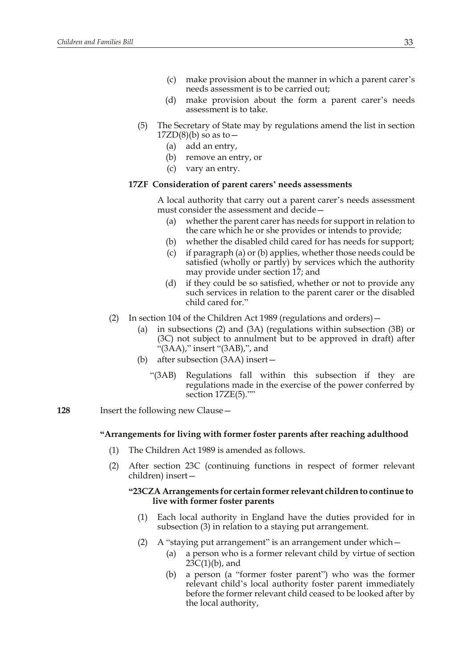- (c) make provision about the manner in which a parent carer's needs assessment is to be carried out;
- (d) make provision about the form a parent carer's needs assessment is to take.
- (5) The Secretary of State may by regulations amend the list in section  $17ZD(8)(b)$  so as to  $-$ 
	- (a) add an entry,
	- (b) remove an entry, or
	- (c) vary an entry.

# **17ZF Consideration of parent carers' needs assessments**

A local authority that carry out a parent carer's needs assessment must consider the assessment and decide—

- (a) whether the parent carer has needs for support in relation to the care which he or she provides or intends to provide;
- (b) whether the disabled child cared for has needs for support;
- (c) if paragraph (a) or (b) applies, whether those needs could be satisfied (wholly or partly) by services which the authority may provide under section 17; and
- (d) if they could be so satisfied, whether or not to provide any such services in relation to the parent carer or the disabled child cared for."
- (2) In section 104 of the Children Act 1989 (regulations and orders)—
	- (a) in subsections (2) and (3A) (regulations within subsection (3B) or (3C) not subject to annulment but to be approved in draft) after "(3AA)," insert "(3AB),", and
	- (b) after subsection (3AA) insert—
		- "(3AB) Regulations fall within this subsection if they are regulations made in the exercise of the power conferred by section 17ZE(5).""
- **128** Insert the following new Clause—

# **"Arrangements for living with former foster parents after reaching adulthood**

- (1) The Children Act 1989 is amended as follows.
- (2) After section 23C (continuing functions in respect of former relevant children) insert—

# **"23CZA Arrangements for certain former relevant children to continue to live with former foster parents**

- (1) Each local authority in England have the duties provided for in subsection (3) in relation to a staying put arrangement.
- (2) A "staying put arrangement" is an arrangement under which—
	- (a) a person who is a former relevant child by virtue of section  $23C(1)(b)$ , and
	- (b) a person (a "former foster parent") who was the former relevant child's local authority foster parent immediately before the former relevant child ceased to be looked after by the local authority,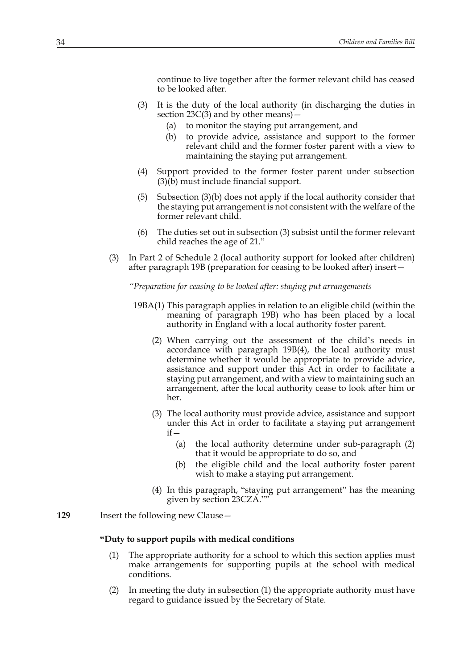continue to live together after the former relevant child has ceased to be looked after.

- (3) It is the duty of the local authority (in discharging the duties in section  $23C(3)$  and by other means) –
	- (a) to monitor the staying put arrangement, and
	- (b) to provide advice, assistance and support to the former relevant child and the former foster parent with a view to maintaining the staying put arrangement.
- (4) Support provided to the former foster parent under subsection (3)(b) must include financial support.
- (5) Subsection (3)(b) does not apply if the local authority consider that the staying put arrangement is not consistent with the welfare of the former relevant child.
- (6) The duties set out in subsection (3) subsist until the former relevant child reaches the age of 21."
- (3) In Part 2 of Schedule 2 (local authority support for looked after children) after paragraph 19B (preparation for ceasing to be looked after) insert—

*"Preparation for ceasing to be looked after: staying put arrangements*

- 19BA(1) This paragraph applies in relation to an eligible child (within the meaning of paragraph 19B) who has been placed by a local authority in England with a local authority foster parent.
	- (2) When carrying out the assessment of the child's needs in accordance with paragraph 19B(4), the local authority must determine whether it would be appropriate to provide advice, assistance and support under this Act in order to facilitate a staying put arrangement, and with a view to maintaining such an arrangement, after the local authority cease to look after him or her.
	- (3) The local authority must provide advice, assistance and support under this Act in order to facilitate a staying put arrangement  $if -$ 
		- (a) the local authority determine under sub-paragraph (2) that it would be appropriate to do so, and
		- (b) the eligible child and the local authority foster parent wish to make a staying put arrangement.
	- (4) In this paragraph, "staying put arrangement" has the meaning given by section 23CZA.""
- **129** Insert the following new Clause—

## **"Duty to support pupils with medical conditions**

- (1) The appropriate authority for a school to which this section applies must make arrangements for supporting pupils at the school with medical conditions.
- (2) In meeting the duty in subsection (1) the appropriate authority must have regard to guidance issued by the Secretary of State.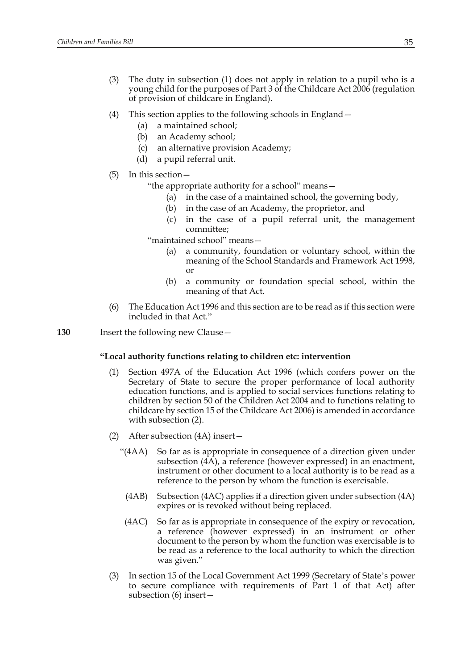- (3) The duty in subsection (1) does not apply in relation to a pupil who is a young child for the purposes of Part 3 of the Childcare Act 2006 (regulation of provision of childcare in England).
- (4) This section applies to the following schools in England—
	- (a) a maintained school;
	- (b) an Academy school;
	- (c) an alternative provision Academy;
	- (d) a pupil referral unit.
- (5) In this section—

"the appropriate authority for a school" means—

- (a) in the case of a maintained school, the governing body,
- (b) in the case of an Academy, the proprietor, and
- (c) in the case of a pupil referral unit, the management committee;

"maintained school" means—

- (a) a community, foundation or voluntary school, within the meaning of the School Standards and Framework Act 1998, or
- (b) a community or foundation special school, within the meaning of that Act.
- (6) The Education Act 1996 and this section are to be read as if this section were included in that Act."
- **130** Insert the following new Clause—

# **"Local authority functions relating to children etc: intervention**

- (1) Section 497A of the Education Act 1996 (which confers power on the Secretary of State to secure the proper performance of local authority education functions, and is applied to social services functions relating to children by section 50 of the Children Act 2004 and to functions relating to childcare by section 15 of the Childcare Act 2006) is amended in accordance with subsection (2).
- (2) After subsection (4A) insert—
	- "(4AA) So far as is appropriate in consequence of a direction given under subsection (4A), a reference (however expressed) in an enactment, instrument or other document to a local authority is to be read as a reference to the person by whom the function is exercisable.
	- (4AB) Subsection (4AC) applies if a direction given under subsection (4A) expires or is revoked without being replaced.
	- (4AC) So far as is appropriate in consequence of the expiry or revocation, a reference (however expressed) in an instrument or other document to the person by whom the function was exercisable is to be read as a reference to the local authority to which the direction was given."
- (3) In section 15 of the Local Government Act 1999 (Secretary of State's power to secure compliance with requirements of Part 1 of that Act) after subsection (6) insert—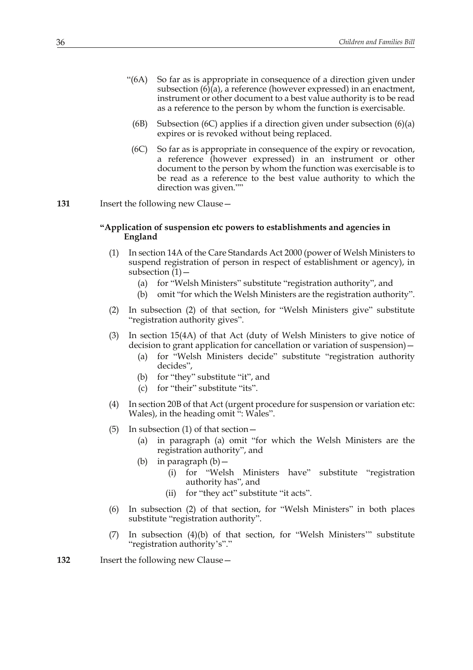- "(6A) So far as is appropriate in consequence of a direction given under subsection (6)(a), a reference (however expressed) in an enactment, instrument or other document to a best value authority is to be read as a reference to the person by whom the function is exercisable.
	- (6B) Subsection (6C) applies if a direction given under subsection (6)(a) expires or is revoked without being replaced.
	- (6C) So far as is appropriate in consequence of the expiry or revocation, a reference (however expressed) in an instrument or other document to the person by whom the function was exercisable is to be read as a reference to the best value authority to which the direction was given.""
- 131 Insert the following new Clause -

## **"Application of suspension etc powers to establishments and agencies in England**

- (1) In section 14A of the Care Standards Act 2000 (power of Welsh Ministers to suspend registration of person in respect of establishment or agency), in subsection  $(1)$  –
	- (a) for "Welsh Ministers" substitute "registration authority", and
	- (b) omit "for which the Welsh Ministers are the registration authority".
- (2) In subsection (2) of that section, for "Welsh Ministers give" substitute "registration authority gives".
- (3) In section 15(4A) of that Act (duty of Welsh Ministers to give notice of decision to grant application for cancellation or variation of suspension)—
	- (a) for "Welsh Ministers decide" substitute "registration authority decides",
	- (b) for "they" substitute "it", and
	- (c) for "their" substitute "its".
- (4) In section 20B of that Act (urgent procedure for suspension or variation etc: Wales), in the heading omit ": Wales".
- (5) In subsection (1) of that section—
	- (a) in paragraph (a) omit "for which the Welsh Ministers are the registration authority", and
	- (b) in paragraph  $(b)$ 
		- (i) for "Welsh Ministers have" substitute "registration authority has", and
		- (ii) for "they act" substitute "it acts".
- (6) In subsection (2) of that section, for "Welsh Ministers" in both places substitute "registration authority".
- (7) In subsection (4)(b) of that section, for "Welsh Ministers'" substitute "registration authority's"."
- **132** Insert the following new Clause—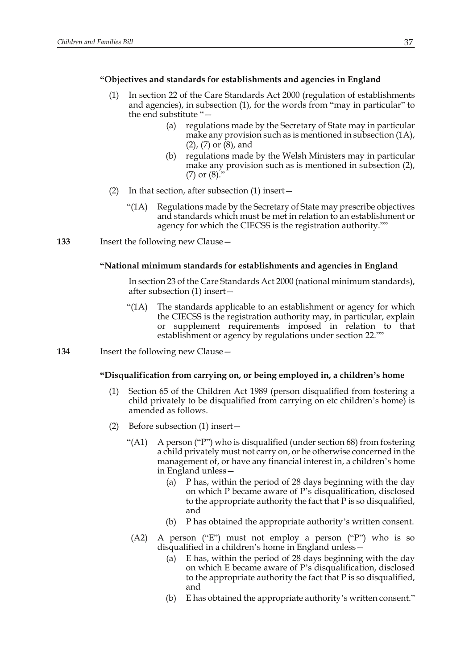# **"Objectives and standards for establishments and agencies in England**

- (1) In section 22 of the Care Standards Act 2000 (regulation of establishments and agencies), in subsection (1), for the words from "may in particular" to the end substitute "—
	- (a) regulations made by the Secretary of State may in particular make any provision such as is mentioned in subsection (1A), (2), (7) or (8), and
	- (b) regulations made by the Welsh Ministers may in particular make any provision such as is mentioned in subsection (2),  $(7)$  or  $(8)$ .
- (2) In that section, after subsection (1) insert—
	- "(1A) Regulations made by the Secretary of State may prescribe objectives and standards which must be met in relation to an establishment or agency for which the CIECSS is the registration authority.""
- **133** Insert the following new Clause—

#### **"National minimum standards for establishments and agencies in England**

In section 23 of the Care Standards Act 2000 (national minimum standards), after subsection (1) insert—

- "(1A) The standards applicable to an establishment or agency for which the CIECSS is the registration authority may, in particular, explain or supplement requirements imposed in relation to that establishment or agency by regulations under section 22.""
- **134** Insert the following new Clause—

#### **"Disqualification from carrying on, or being employed in, a children's home**

- (1) Section 65 of the Children Act 1989 (person disqualified from fostering a child privately to be disqualified from carrying on etc children's home) is amended as follows.
- (2) Before subsection (1) insert—
	- "(A1) A person ("P") who is disqualified (under section 68) from fostering a child privately must not carry on, or be otherwise concerned in the management of, or have any financial interest in, a children's home in England unless—
		- (a) P has, within the period of 28 days beginning with the day on which P became aware of P's disqualification, disclosed to the appropriate authority the fact that P is so disqualified, and
		- (b) P has obtained the appropriate authority's written consent.
		- (A2) A person ("E") must not employ a person ("P") who is so disqualified in a children's home in England unless—
			- (a) E has, within the period of 28 days beginning with the day on which E became aware of P's disqualification, disclosed to the appropriate authority the fact that P is so disqualified, and
			- (b) E has obtained the appropriate authority's written consent."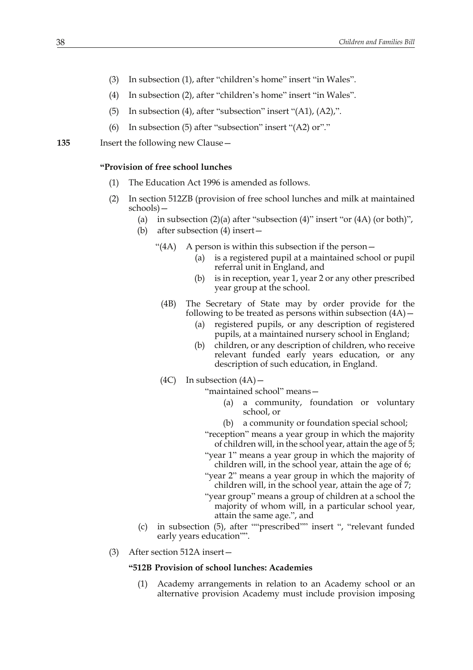- (3) In subsection (1), after "children's home" insert "in Wales".
- (4) In subsection (2), after "children's home" insert "in Wales".
- (5) In subsection (4), after "subsection" insert "(A1), (A2),".
- (6) In subsection (5) after "subsection" insert "(A2) or"."

**135** Insert the following new Clause—

#### **"Provision of free school lunches**

- (1) The Education Act 1996 is amended as follows.
- (2) In section 512ZB (provision of free school lunches and milk at maintained schools)—
	- (a) in subsection  $(2)(a)$  after "subsection  $(4)$ " insert "or  $(4A)$  (or both)",
		- (b) after subsection (4) insert—
			- "(4A) A person is within this subsection if the person—
				- (a) is a registered pupil at a maintained school or pupil referral unit in England, and
				- (b) is in reception, year 1, year 2 or any other prescribed year group at the school.
				- (4B) The Secretary of State may by order provide for the following to be treated as persons within subsection  $(4A)$  –
					- (a) registered pupils, or any description of registered pupils, at a maintained nursery school in England;
					- (b) children, or any description of children, who receive relevant funded early years education, or any description of such education, in England.
			- $(4C)$  In subsection  $(4A)$  –

"maintained school" means—

- (a) a community, foundation or voluntary school, or
- (b) a community or foundation special school;
- "reception" means a year group in which the majority of children will, in the school year, attain the age of 5;
- "year 1" means a year group in which the majority of children will, in the school year, attain the age of 6;
- "year 2" means a year group in which the majority of children will, in the school year, attain the age of 7;
- "year group" means a group of children at a school the majority of whom will, in a particular school year, attain the same age.", and
- (c) in subsection (5), after ""prescribed"" insert ", "relevant funded early years education"".
- (3) After section 512A insert—

## **"512B Provision of school lunches: Academies**

(1) Academy arrangements in relation to an Academy school or an alternative provision Academy must include provision imposing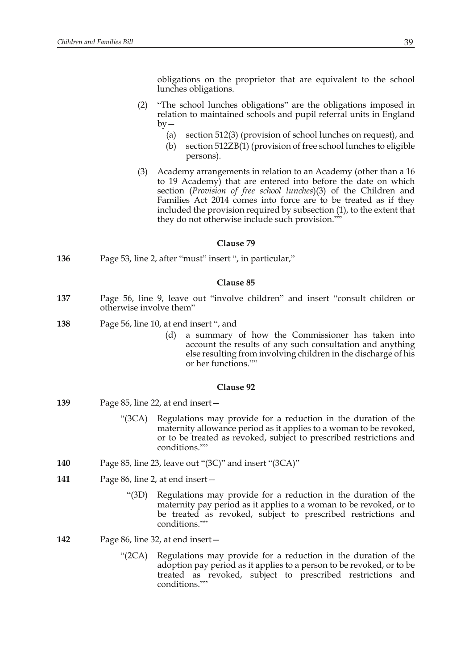obligations on the proprietor that are equivalent to the school lunches obligations.

- (2) "The school lunches obligations" are the obligations imposed in relation to maintained schools and pupil referral units in England  $by -$ 
	- (a) section 512(3) (provision of school lunches on request), and
	- (b) section 512ZB(1) (provision of free school lunches to eligible persons).
- (3) Academy arrangements in relation to an Academy (other than a 16 to 19 Academy) that are entered into before the date on which section (*Provision of free school lunches*)(3) of the Children and Families Act 2014 comes into force are to be treated as if they included the provision required by subsection (1), to the extent that they do not otherwise include such provision.""

#### **Clause 79**

**136** Page 53, line 2, after "must" insert ", in particular,"

#### **Clause 85**

- **137** Page 56, line 9, leave out "involve children" and insert "consult children or otherwise involve them"
- **138** Page 56, line 10, at end insert ", and
	- (d) a summary of how the Commissioner has taken into account the results of any such consultation and anything else resulting from involving children in the discharge of his or her functions.""

#### **Clause 92**

- **139** Page 85, line 22, at end insert—
	- "(3CA) Regulations may provide for a reduction in the duration of the maternity allowance period as it applies to a woman to be revoked, or to be treated as revoked, subject to prescribed restrictions and conditions.""
- **140** Page 85, line 23, leave out "(3C)" and insert "(3CA)"
- **141** Page 86, line 2, at end insert—
	- "(3D) Regulations may provide for a reduction in the duration of the maternity pay period as it applies to a woman to be revoked, or to be treated as revoked, subject to prescribed restrictions and conditions.""
- **142** Page 86, line 32, at end insert—
	- "(2CA) Regulations may provide for a reduction in the duration of the adoption pay period as it applies to a person to be revoked, or to be treated as revoked, subject to prescribed restrictions and conditions.""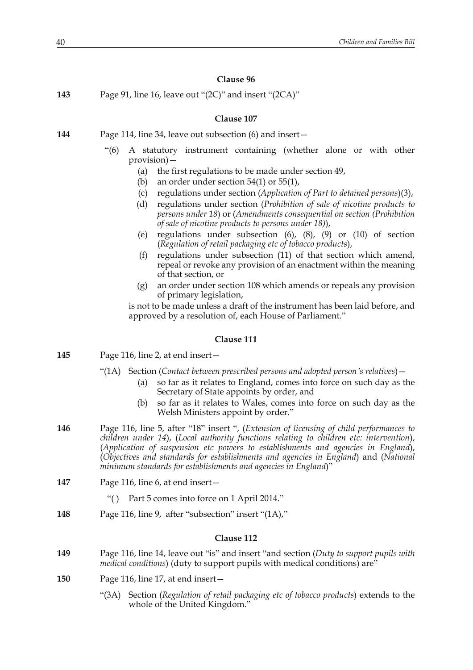**143** Page 91, line 16, leave out "(2C)" and insert "(2CA)"

## **Clause 107**

- **144** Page 114, line 34, leave out subsection (6) and insert—
	- "(6) A statutory instrument containing (whether alone or with other provision)—
		- (a) the first regulations to be made under section 49,
		- (b) an order under section 54(1) or 55(1),
		- (c) regulations under section (*Application of Part to detained persons*)(3),
		- (d) regulations under section (*Prohibition of sale of nicotine products to persons under 18*) or (*Amendments consequential on section (Prohibition of sale of nicotine products to persons under 18)*),
		- (e) regulations under subsection (6), (8), (9) or (10) of section (*Regulation of retail packaging etc of tobacco products*),
		- (f) regulations under subsection (11) of that section which amend, repeal or revoke any provision of an enactment within the meaning of that section, or
		- (g) an order under section 108 which amends or repeals any provision of primary legislation,

is not to be made unless a draft of the instrument has been laid before, and approved by a resolution of, each House of Parliament."

# **Clause 111**

- **145** Page 116, line 2, at end insert—
	- "(1A) Section (*Contact between prescribed persons and adopted person's relatives*)—
		- (a) so far as it relates to England, comes into force on such day as the Secretary of State appoints by order, and
		- (b) so far as it relates to Wales, comes into force on such day as the Welsh Ministers appoint by order."
- **146** Page 116, line 5, after "18" insert ", (*Extension of licensing of child performances to children under 14*), (*Local authority functions relating to children etc: intervention*), (*Application of suspension etc powers to establishments and agencies in England*), (*Objectives and standards for establishments and agencies in England*) and (*National minimum standards for establishments and agencies in England*)"
- **147** Page 116, line 6, at end insert—
	- "( ) Part 5 comes into force on 1 April 2014."
- **148** Page 116, line 9, after "subsection" insert "(1A),"

#### **Clause 112**

- **149** Page 116, line 14, leave out "is" and insert "and section (*Duty to support pupils with medical conditions*) (duty to support pupils with medical conditions) are"
- **150** Page 116, line 17, at end insert—
	- "(3A) Section (*Regulation of retail packaging etc of tobacco products*) extends to the whole of the United Kingdom."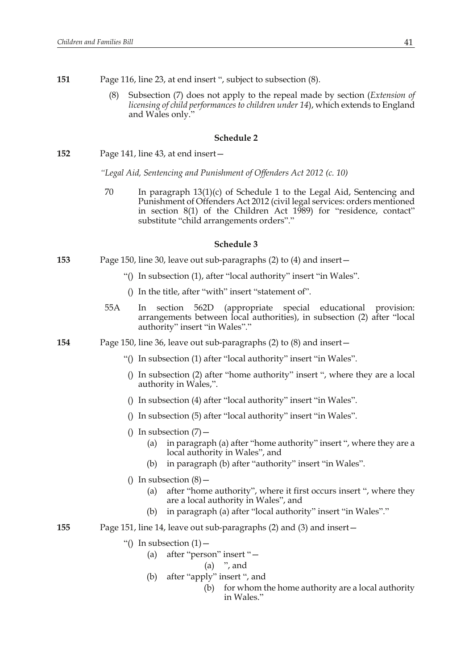- **151** Page 116, line 23, at end insert ", subject to subsection (8).
	- (8) Subsection (7) does not apply to the repeal made by section (*Extension of licensing of child performances to children under 14*), which extends to England and Wales only."

#### **Schedule 2**

**152** Page 141, line 43, at end insert—

*"Legal Aid, Sentencing and Punishment of Offenders Act 2012 (c. 10)*

70 In paragraph 13(1)(c) of Schedule 1 to the Legal Aid, Sentencing and Punishment of Offenders Act 2012 (civil legal services: orders mentioned in section 8(1) of the Children Act 1989) for "residence, contact" substitute "child arrangements orders"."

#### **Schedule 3**

- **153** Page 150, line 30, leave out sub-paragraphs (2) to (4) and insert—
	- "() In subsection (1), after "local authority" insert "in Wales".
	- () In the title, after "with" insert "statement of".
	- 55A In section 562D (appropriate special educational provision: arrangements between local authorities), in subsection (2) after "local authority" insert "in Wales"."
- **154** Page 150, line 36, leave out sub-paragraphs (2) to (8) and insert—
	- "() In subsection (1) after "local authority" insert "in Wales".
	- () In subsection (2) after "home authority" insert ", where they are a local authority in Wales,".
	- () In subsection (4) after "local authority" insert "in Wales".
	- () In subsection (5) after "local authority" insert "in Wales".
	- () In subsection  $(7)$ 
		- (a) in paragraph (a) after "home authority" insert ", where they are a local authority in Wales", and
		- (b) in paragraph (b) after "authority" insert "in Wales".
	- () In subsection  $(8)$ 
		- (a) after "home authority", where it first occurs insert ", where they are a local authority in Wales", and
		- (b) in paragraph (a) after "local authority" insert "in Wales"."
- **155** Page 151, line 14, leave out sub-paragraphs (2) and (3) and insert—
	- "() In subsection  $(1)$  -
		- (a) after "person" insert "—
			- (a) ", and
		- (b) after "apply" insert ", and
			- (b) for whom the home authority are a local authority in Wales."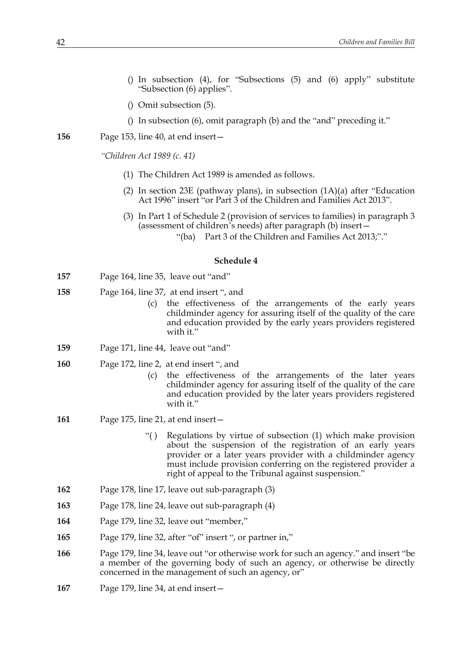- () In subsection (4), for "Subsections (5) and (6) apply" substitute "Subsection (6) applies".
- () Omit subsection (5).
- () In subsection (6), omit paragraph (b) and the "and" preceding it."
- **156** Page 153, line 40, at end insert—
	- *"Children Act 1989 (c. 41)*
		- (1) The Children Act 1989 is amended as follows.
		- (2) In section 23E (pathway plans), in subsection  $(1A)(a)$  after "Education" Act 1996" insert "or Part 3 of the Children and Families Act 2013".
		- (3) In Part 1 of Schedule 2 (provision of services to families) in paragraph 3 (assessment of children's needs) after paragraph (b) insert—
			- "(ba) Part 3 of the Children and Families Act 2013;"."

#### **Schedule 4**

- **157** Page 164, line 35, leave out "and"
- **158** Page 164, line 37, at end insert ", and
	- (c) the effectiveness of the arrangements of the early years childminder agency for assuring itself of the quality of the care and education provided by the early years providers registered with it."
- **159** Page 171, line 44, leave out "and"
- **160** Page 172, line 2, at end insert ", and
	- (c) the effectiveness of the arrangements of the later years childminder agency for assuring itself of the quality of the care and education provided by the later years providers registered with it."
- **161** Page 175, line 21, at end insert—
	- "( ) Regulations by virtue of subsection (1) which make provision about the suspension of the registration of an early years provider or a later years provider with a childminder agency must include provision conferring on the registered provider a right of appeal to the Tribunal against suspension."
- **162** Page 178, line 17, leave out sub-paragraph (3)
- **163** Page 178, line 24, leave out sub-paragraph (4)
- **164** Page 179, line 32, leave out "member,"
- **165** Page 179, line 32, after "of" insert ", or partner in,"
- **166** Page 179, line 34, leave out "or otherwise work for such an agency." and insert "be a member of the governing body of such an agency, or otherwise be directly concerned in the management of such an agency, or"
- **167** Page 179, line 34, at end insert—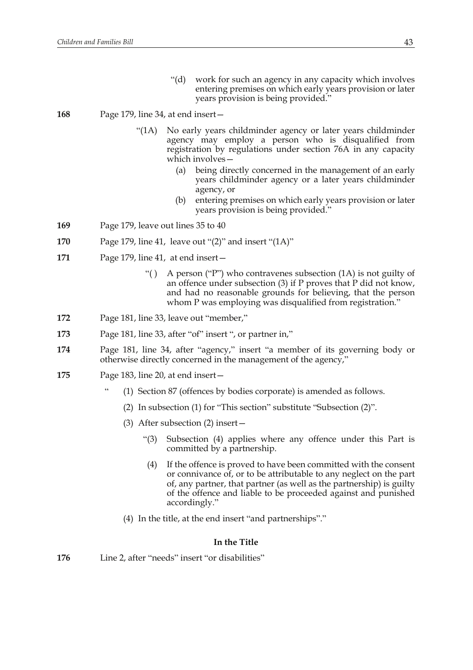"(d) work for such an agency in any capacity which involves entering premises on which early years provision or later years provision is being provided."

# **168** Page 179, line 34, at end insert—

- "(1A) No early years childminder agency or later years childminder agency may employ a person who is disqualified from registration by regulations under section 76A in any capacity which involves—
	- (a) being directly concerned in the management of an early years childminder agency or a later years childminder agency, or
	- (b) entering premises on which early years provision or later years provision is being provided."
- **169** Page 179, leave out lines 35 to 40
- **170** Page 179, line 41, leave out "(2)" and insert "(1A)"
- **171** Page 179, line 41, at end insert—
	- "( ) A person ("P") who contravenes subsection (1A) is not guilty of an offence under subsection (3) if P proves that P did not know, and had no reasonable grounds for believing, that the person whom P was employing was disqualified from registration."
- **172** Page 181, line 33, leave out "member,"
- **173** Page 181, line 33, after "of" insert ", or partner in,"
- **174** Page 181, line 34, after "agency," insert "a member of its governing body or otherwise directly concerned in the management of the agency,"
- **175** Page 183, line 20, at end insert—
	- (1) Section 87 (offences by bodies corporate) is amended as follows.
	- (2) In subsection (1) for "This section" substitute "Subsection (2)".
	- (3) After subsection (2) insert—
		- "(3) Subsection (4) applies where any offence under this Part is committed by a partnership.
		- (4) If the offence is proved to have been committed with the consent or connivance of, or to be attributable to any neglect on the part of, any partner, that partner (as well as the partnership) is guilty of the offence and liable to be proceeded against and punished accordingly."
	- (4) In the title, at the end insert "and partnerships"."

## **In the Title**

**176** Line 2, after "needs" insert "or disabilities"